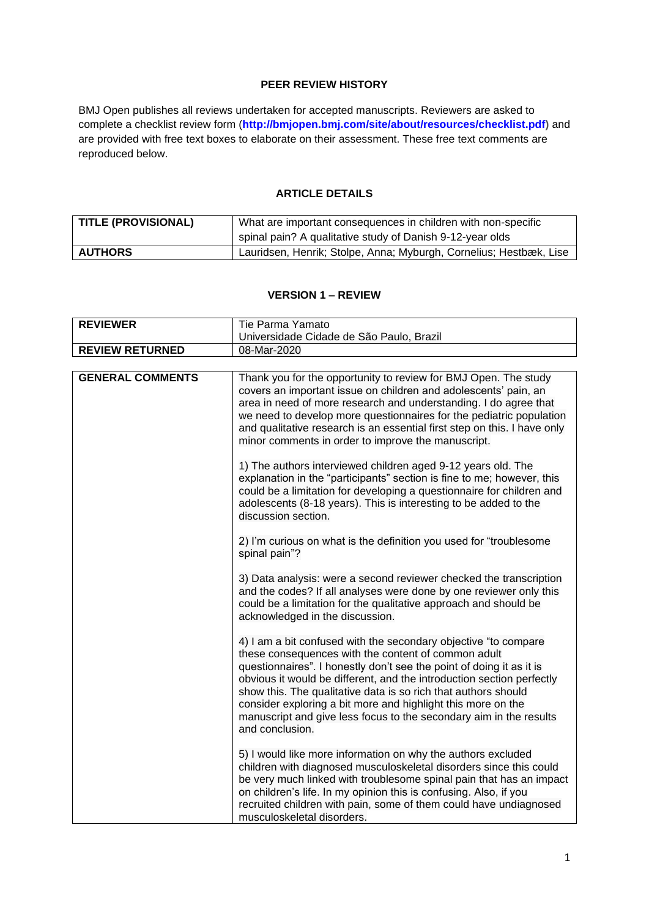## **PEER REVIEW HISTORY**

BMJ Open publishes all reviews undertaken for accepted manuscripts. Reviewers are asked to complete a checklist review form (**[http://bmjopen.bmj.com/site/about/resources/checklist.pdf\)](http://bmjopen.bmj.com/site/about/resources/checklist.pdf)** and are provided with free text boxes to elaborate on their assessment. These free text comments are reproduced below.

## **ARTICLE DETAILS**

| TITLE (PROVISIONAL) | What are important consequences in children with non-specific      |  |
|---------------------|--------------------------------------------------------------------|--|
|                     | spinal pain? A qualitative study of Danish 9-12-year olds          |  |
| <b>AUTHORS</b>      | Lauridsen, Henrik; Stolpe, Anna; Myburgh, Cornelius; Hestbæk, Lise |  |

#### **VERSION 1 – REVIEW**

| <b>REVIEWER</b>         | Tie Parma Yamato                                                                                                                                                                                                                                                                                                                                                                                                                                                                                   |  |
|-------------------------|----------------------------------------------------------------------------------------------------------------------------------------------------------------------------------------------------------------------------------------------------------------------------------------------------------------------------------------------------------------------------------------------------------------------------------------------------------------------------------------------------|--|
|                         | Universidade Cidade de São Paulo, Brazil                                                                                                                                                                                                                                                                                                                                                                                                                                                           |  |
| <b>REVIEW RETURNED</b>  | 08-Mar-2020                                                                                                                                                                                                                                                                                                                                                                                                                                                                                        |  |
|                         |                                                                                                                                                                                                                                                                                                                                                                                                                                                                                                    |  |
| <b>GENERAL COMMENTS</b> | Thank you for the opportunity to review for BMJ Open. The study<br>covers an important issue on children and adolescents' pain, an<br>area in need of more research and understanding. I do agree that<br>we need to develop more questionnaires for the pediatric population<br>and qualitative research is an essential first step on this. I have only<br>minor comments in order to improve the manuscript.                                                                                    |  |
|                         | 1) The authors interviewed children aged 9-12 years old. The<br>explanation in the "participants" section is fine to me; however, this<br>could be a limitation for developing a questionnaire for children and<br>adolescents (8-18 years). This is interesting to be added to the<br>discussion section.                                                                                                                                                                                         |  |
|                         | 2) I'm curious on what is the definition you used for "troublesome"<br>spinal pain"?                                                                                                                                                                                                                                                                                                                                                                                                               |  |
|                         | 3) Data analysis: were a second reviewer checked the transcription<br>and the codes? If all analyses were done by one reviewer only this<br>could be a limitation for the qualitative approach and should be<br>acknowledged in the discussion.                                                                                                                                                                                                                                                    |  |
|                         | 4) I am a bit confused with the secondary objective "to compare<br>these consequences with the content of common adult<br>questionnaires". I honestly don't see the point of doing it as it is<br>obvious it would be different, and the introduction section perfectly<br>show this. The qualitative data is so rich that authors should<br>consider exploring a bit more and highlight this more on the<br>manuscript and give less focus to the secondary aim in the results<br>and conclusion. |  |
|                         | 5) I would like more information on why the authors excluded<br>children with diagnosed musculoskeletal disorders since this could<br>be very much linked with troublesome spinal pain that has an impact<br>on children's life. In my opinion this is confusing. Also, if you<br>recruited children with pain, some of them could have undiagnosed<br>musculoskeletal disorders.                                                                                                                  |  |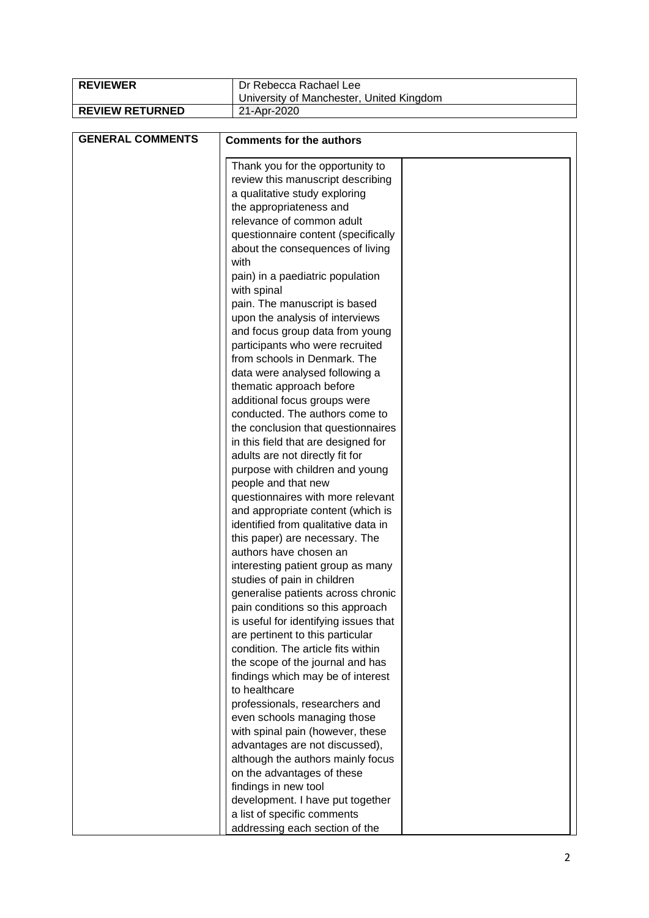| <b>REVIEWER</b>         | Dr Rebecca Rachael Lee                   |  |
|-------------------------|------------------------------------------|--|
|                         | University of Manchester, United Kingdom |  |
| <b>REVIEW RETURNED</b>  | 21-Apr-2020                              |  |
|                         |                                          |  |
| <b>GENERAL COMMENTS</b> | <b>Comments for the authors</b>          |  |
|                         |                                          |  |
|                         | Thank you for the opportunity to         |  |
|                         | review this manuscript describing        |  |
|                         | a qualitative study exploring            |  |
|                         | the appropriateness and                  |  |
|                         | relevance of common adult                |  |
|                         | questionnaire content (specifically      |  |
|                         | about the consequences of living         |  |
|                         | with                                     |  |
|                         | pain) in a paediatric population         |  |
|                         | with spinal                              |  |
|                         | pain. The manuscript is based            |  |
|                         | upon the analysis of interviews          |  |
|                         | and focus group data from young          |  |
|                         | participants who were recruited          |  |
|                         | from schools in Denmark. The             |  |
|                         | data were analysed following a           |  |
|                         | thematic approach before                 |  |
|                         | additional focus groups were             |  |
|                         | conducted. The authors come to           |  |
|                         | the conclusion that questionnaires       |  |
|                         | in this field that are designed for      |  |
|                         | adults are not directly fit for          |  |
|                         | purpose with children and young          |  |
|                         | people and that new                      |  |
|                         | questionnaires with more relevant        |  |
|                         | and appropriate content (which is        |  |
|                         | identified from qualitative data in      |  |
|                         | this paper) are necessary. The           |  |
|                         | authors have chosen an                   |  |
|                         | interesting patient group as many        |  |
|                         | studies of pain in children              |  |
|                         | generalise patients across chronic       |  |
|                         | pain conditions so this approach         |  |
|                         | is useful for identifying issues that    |  |
|                         | are pertinent to this particular         |  |
|                         | condition. The article fits within       |  |
|                         | the scope of the journal and has         |  |
|                         | findings which may be of interest        |  |
|                         | to healthcare                            |  |
|                         | professionals, researchers and           |  |
|                         | even schools managing those              |  |
|                         | with spinal pain (however, these         |  |
|                         | advantages are not discussed),           |  |
|                         | although the authors mainly focus        |  |
|                         | on the advantages of these               |  |
|                         | findings in new tool                     |  |
|                         | development. I have put together         |  |
|                         | a list of specific comments              |  |
|                         | addressing each section of the           |  |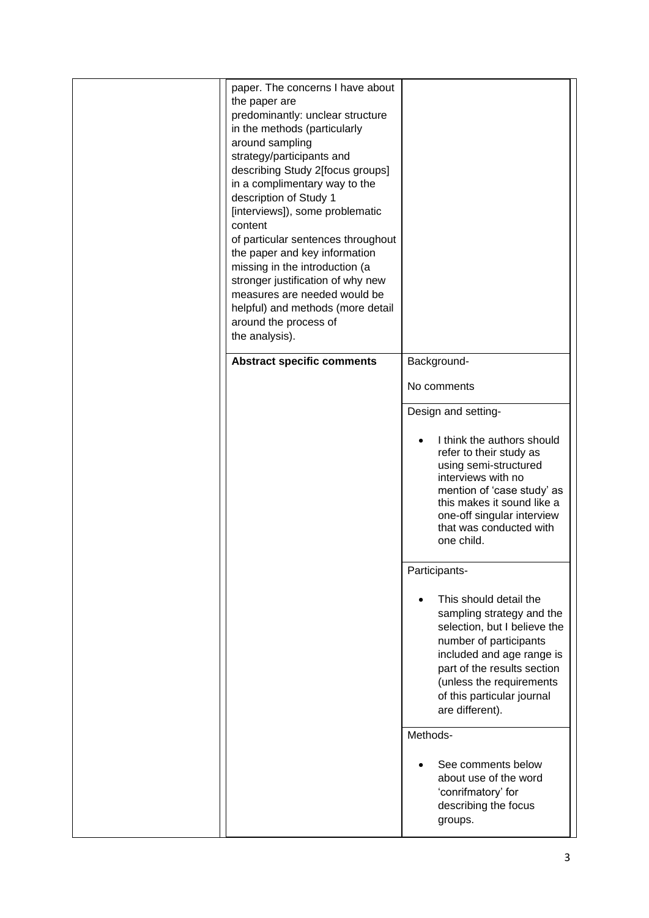| paper. The concerns I have about<br>the paper are<br>predominantly: unclear structure<br>in the methods (particularly<br>around sampling<br>strategy/participants and<br>describing Study 2[focus groups]<br>in a complimentary way to the<br>description of Study 1<br>[interviews]), some problematic<br>content<br>of particular sentences throughout<br>the paper and key information<br>missing in the introduction (a<br>stronger justification of why new<br>measures are needed would be<br>helpful) and methods (more detail<br>around the process of<br>the analysis). |                                                                                                                                                                                                                                                        |
|----------------------------------------------------------------------------------------------------------------------------------------------------------------------------------------------------------------------------------------------------------------------------------------------------------------------------------------------------------------------------------------------------------------------------------------------------------------------------------------------------------------------------------------------------------------------------------|--------------------------------------------------------------------------------------------------------------------------------------------------------------------------------------------------------------------------------------------------------|
| <b>Abstract specific comments</b>                                                                                                                                                                                                                                                                                                                                                                                                                                                                                                                                                | Background-                                                                                                                                                                                                                                            |
|                                                                                                                                                                                                                                                                                                                                                                                                                                                                                                                                                                                  | No comments                                                                                                                                                                                                                                            |
|                                                                                                                                                                                                                                                                                                                                                                                                                                                                                                                                                                                  | Design and setting-                                                                                                                                                                                                                                    |
|                                                                                                                                                                                                                                                                                                                                                                                                                                                                                                                                                                                  | I think the authors should<br>refer to their study as<br>using semi-structured<br>interviews with no<br>mention of 'case study' as<br>this makes it sound like a<br>one-off singular interview<br>that was conducted with<br>one child.                |
|                                                                                                                                                                                                                                                                                                                                                                                                                                                                                                                                                                                  | Participants-                                                                                                                                                                                                                                          |
|                                                                                                                                                                                                                                                                                                                                                                                                                                                                                                                                                                                  | This should detail the<br>sampling strategy and the<br>selection, but I believe the<br>number of participants<br>included and age range is<br>part of the results section<br>(unless the requirements<br>of this particular journal<br>are different). |
|                                                                                                                                                                                                                                                                                                                                                                                                                                                                                                                                                                                  | Methods-                                                                                                                                                                                                                                               |
|                                                                                                                                                                                                                                                                                                                                                                                                                                                                                                                                                                                  | See comments below<br>about use of the word<br>'conrifmatory' for<br>describing the focus<br>groups.                                                                                                                                                   |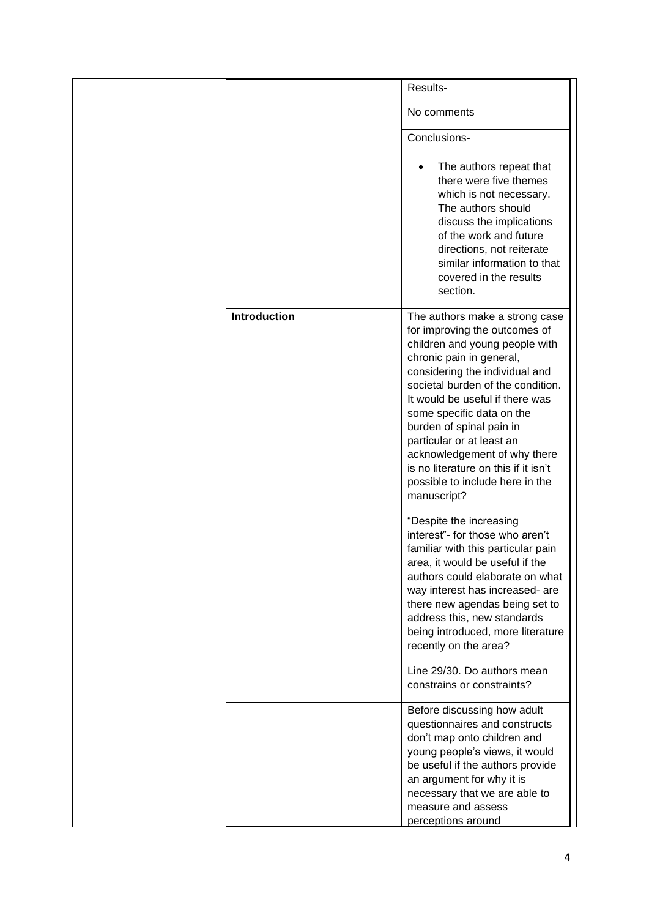|                     | Results-                                                                                                                                                                                                                                                                                                                                                                                                                                                |
|---------------------|---------------------------------------------------------------------------------------------------------------------------------------------------------------------------------------------------------------------------------------------------------------------------------------------------------------------------------------------------------------------------------------------------------------------------------------------------------|
|                     | No comments                                                                                                                                                                                                                                                                                                                                                                                                                                             |
|                     | Conclusions-                                                                                                                                                                                                                                                                                                                                                                                                                                            |
|                     | The authors repeat that<br>there were five themes<br>which is not necessary.<br>The authors should<br>discuss the implications<br>of the work and future<br>directions, not reiterate<br>similar information to that<br>covered in the results<br>section.                                                                                                                                                                                              |
| <b>Introduction</b> | The authors make a strong case<br>for improving the outcomes of<br>children and young people with<br>chronic pain in general,<br>considering the individual and<br>societal burden of the condition.<br>It would be useful if there was<br>some specific data on the<br>burden of spinal pain in<br>particular or at least an<br>acknowledgement of why there<br>is no literature on this if it isn't<br>possible to include here in the<br>manuscript? |
|                     | "Despite the increasing<br>interest"- for those who aren't<br>familiar with this particular pain<br>area, it would be useful if the<br>authors could elaborate on what<br>way interest has increased- are<br>there new agendas being set to<br>address this, new standards<br>being introduced, more literature<br>recently on the area?                                                                                                                |
|                     | Line 29/30. Do authors mean<br>constrains or constraints?                                                                                                                                                                                                                                                                                                                                                                                               |
|                     | Before discussing how adult<br>questionnaires and constructs<br>don't map onto children and<br>young people's views, it would<br>be useful if the authors provide<br>an argument for why it is<br>necessary that we are able to<br>measure and assess<br>perceptions around                                                                                                                                                                             |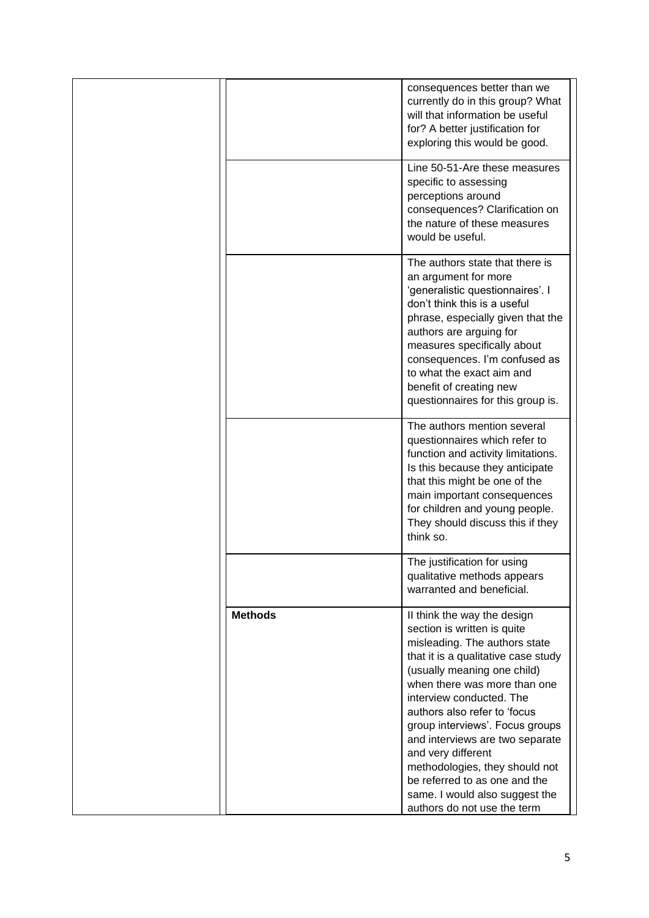|                | consequences better than we<br>currently do in this group? What<br>will that information be useful<br>for? A better justification for<br>exploring this would be good.                                                                                                                                                                                                                                                                                         |
|----------------|----------------------------------------------------------------------------------------------------------------------------------------------------------------------------------------------------------------------------------------------------------------------------------------------------------------------------------------------------------------------------------------------------------------------------------------------------------------|
|                | Line 50-51-Are these measures<br>specific to assessing<br>perceptions around<br>consequences? Clarification on<br>the nature of these measures<br>would be useful.                                                                                                                                                                                                                                                                                             |
|                | The authors state that there is<br>an argument for more<br>'generalistic questionnaires'. I<br>don't think this is a useful<br>phrase, especially given that the<br>authors are arguing for<br>measures specifically about<br>consequences. I'm confused as<br>to what the exact aim and<br>benefit of creating new<br>questionnaires for this group is.                                                                                                       |
|                | The authors mention several<br>questionnaires which refer to<br>function and activity limitations.<br>Is this because they anticipate<br>that this might be one of the<br>main important consequences<br>for children and young people.<br>They should discuss this if they<br>think so.                                                                                                                                                                       |
|                | The justification for using<br>qualitative methods appears<br>warranted and beneficial.                                                                                                                                                                                                                                                                                                                                                                        |
| <b>Methods</b> | II think the way the design<br>section is written is quite<br>misleading. The authors state<br>that it is a qualitative case study<br>(usually meaning one child)<br>when there was more than one<br>interview conducted. The<br>authors also refer to 'focus<br>group interviews'. Focus groups<br>and interviews are two separate<br>and very different<br>methodologies, they should not<br>be referred to as one and the<br>same. I would also suggest the |
|                | authors do not use the term                                                                                                                                                                                                                                                                                                                                                                                                                                    |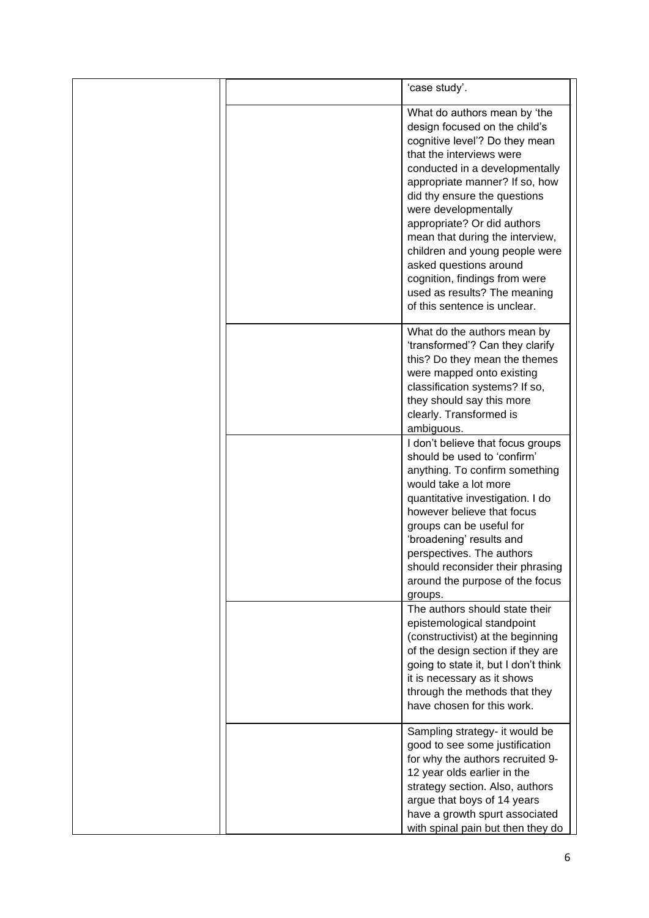|  | 'case study'.                                                                                                                                                                                                                                                                                                                                                                                                                                                                          |
|--|----------------------------------------------------------------------------------------------------------------------------------------------------------------------------------------------------------------------------------------------------------------------------------------------------------------------------------------------------------------------------------------------------------------------------------------------------------------------------------------|
|  | What do authors mean by 'the<br>design focused on the child's<br>cognitive level'? Do they mean<br>that the interviews were<br>conducted in a developmentally<br>appropriate manner? If so, how<br>did thy ensure the questions<br>were developmentally<br>appropriate? Or did authors<br>mean that during the interview,<br>children and young people were<br>asked questions around<br>cognition, findings from were<br>used as results? The meaning<br>of this sentence is unclear. |
|  | What do the authors mean by<br>'transformed'? Can they clarify<br>this? Do they mean the themes<br>were mapped onto existing<br>classification systems? If so,<br>they should say this more<br>clearly. Transformed is                                                                                                                                                                                                                                                                 |
|  | ambiguous.<br>I don't believe that focus groups<br>should be used to 'confirm'<br>anything. To confirm something<br>would take a lot more<br>quantitative investigation. I do<br>however believe that focus<br>groups can be useful for<br>'broadening' results and<br>perspectives. The authors<br>should reconsider their phrasing<br>around the purpose of the focus<br>groups.                                                                                                     |
|  | The authors should state their<br>epistemological standpoint<br>(constructivist) at the beginning<br>of the design section if they are<br>going to state it, but I don't think<br>it is necessary as it shows<br>through the methods that they<br>have chosen for this work.                                                                                                                                                                                                           |
|  | Sampling strategy- it would be<br>good to see some justification<br>for why the authors recruited 9-<br>12 year olds earlier in the<br>strategy section. Also, authors<br>argue that boys of 14 years<br>have a growth spurt associated<br>with spinal pain but then they do                                                                                                                                                                                                           |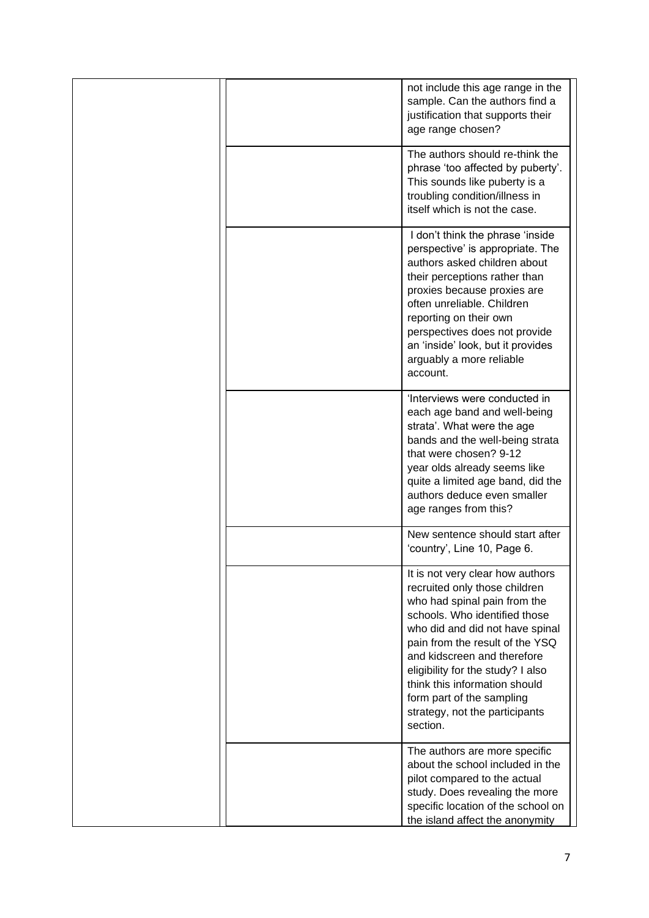|  | not include this age range in the<br>sample. Can the authors find a<br>justification that supports their<br>age range chosen?                                                                                                                                                                                                                                                            |
|--|------------------------------------------------------------------------------------------------------------------------------------------------------------------------------------------------------------------------------------------------------------------------------------------------------------------------------------------------------------------------------------------|
|  | The authors should re-think the<br>phrase 'too affected by puberty'.<br>This sounds like puberty is a<br>troubling condition/illness in<br>itself which is not the case.                                                                                                                                                                                                                 |
|  | I don't think the phrase 'inside<br>perspective' is appropriate. The<br>authors asked children about<br>their perceptions rather than<br>proxies because proxies are<br>often unreliable. Children<br>reporting on their own<br>perspectives does not provide<br>an 'inside' look, but it provides<br>arguably a more reliable<br>account.                                               |
|  | 'Interviews were conducted in<br>each age band and well-being<br>strata'. What were the age<br>bands and the well-being strata<br>that were chosen? 9-12<br>year olds already seems like<br>quite a limited age band, did the<br>authors deduce even smaller<br>age ranges from this?                                                                                                    |
|  | New sentence should start after<br>'country', Line 10, Page 6.                                                                                                                                                                                                                                                                                                                           |
|  | It is not very clear how authors<br>recruited only those children<br>who had spinal pain from the<br>schools. Who identified those<br>who did and did not have spinal<br>pain from the result of the YSQ<br>and kidscreen and therefore<br>eligibility for the study? I also<br>think this information should<br>form part of the sampling<br>strategy, not the participants<br>section. |
|  | The authors are more specific<br>about the school included in the<br>pilot compared to the actual<br>study. Does revealing the more<br>specific location of the school on<br>the island affect the anonymity                                                                                                                                                                             |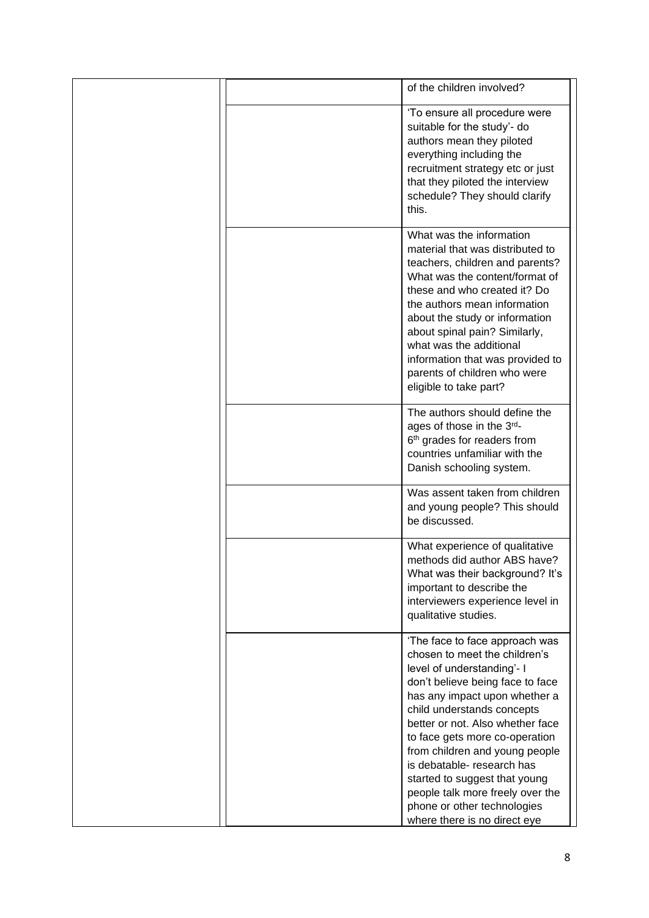|  | of the children involved?                                                                                                                                                                                                                                                                                                                                                                                                                                                  |
|--|----------------------------------------------------------------------------------------------------------------------------------------------------------------------------------------------------------------------------------------------------------------------------------------------------------------------------------------------------------------------------------------------------------------------------------------------------------------------------|
|  | 'To ensure all procedure were<br>suitable for the study'- do<br>authors mean they piloted<br>everything including the<br>recruitment strategy etc or just<br>that they piloted the interview<br>schedule? They should clarify<br>this.                                                                                                                                                                                                                                     |
|  | What was the information<br>material that was distributed to<br>teachers, children and parents?<br>What was the content/format of<br>these and who created it? Do<br>the authors mean information<br>about the study or information<br>about spinal pain? Similarly,<br>what was the additional<br>information that was provided to<br>parents of children who were<br>eligible to take part?                                                                              |
|  | The authors should define the<br>ages of those in the 3rd-<br>6 <sup>th</sup> grades for readers from<br>countries unfamiliar with the<br>Danish schooling system.                                                                                                                                                                                                                                                                                                         |
|  | Was assent taken from children<br>and young people? This should<br>be discussed.                                                                                                                                                                                                                                                                                                                                                                                           |
|  | What experience of qualitative<br>methods did author ABS have?<br>What was their background? It's<br>important to describe the<br>interviewers experience level in<br>qualitative studies.                                                                                                                                                                                                                                                                                 |
|  | 'The face to face approach was<br>chosen to meet the children's<br>level of understanding'- I<br>don't believe being face to face<br>has any impact upon whether a<br>child understands concepts<br>better or not. Also whether face<br>to face gets more co-operation<br>from children and young people<br>is debatable- research has<br>started to suggest that young<br>people talk more freely over the<br>phone or other technologies<br>where there is no direct eye |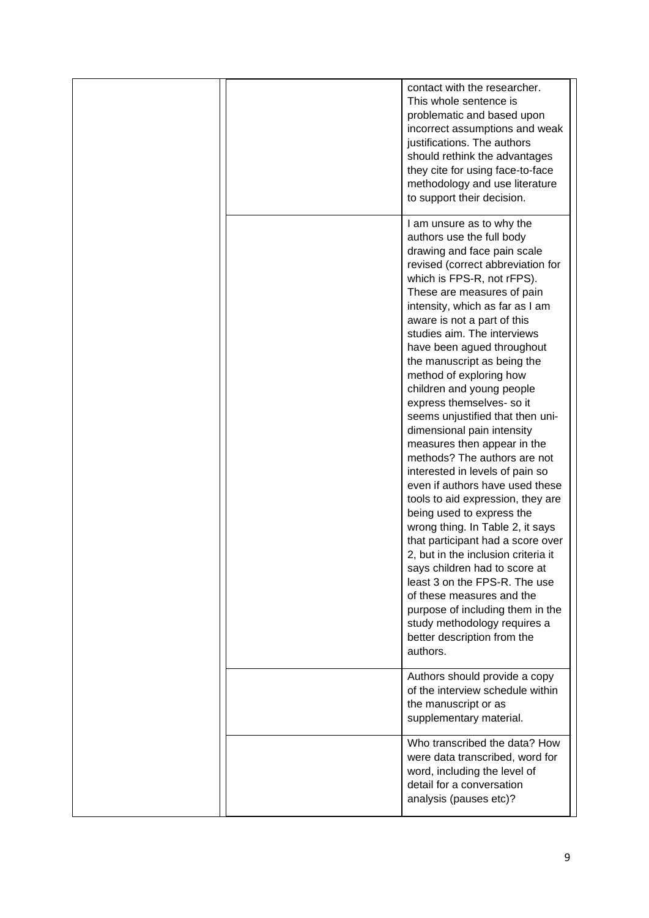|  | contact with the researcher.<br>This whole sentence is<br>problematic and based upon<br>incorrect assumptions and weak<br>justifications. The authors<br>should rethink the advantages<br>they cite for using face-to-face<br>methodology and use literature<br>to support their decision.                                                                                              |
|--|-----------------------------------------------------------------------------------------------------------------------------------------------------------------------------------------------------------------------------------------------------------------------------------------------------------------------------------------------------------------------------------------|
|  | I am unsure as to why the<br>authors use the full body<br>drawing and face pain scale<br>revised (correct abbreviation for<br>which is FPS-R, not rFPS).<br>These are measures of pain<br>intensity, which as far as I am<br>aware is not a part of this<br>studies aim. The interviews                                                                                                 |
|  | have been agued throughout<br>the manuscript as being the<br>method of exploring how<br>children and young people<br>express themselves- so it<br>seems unjustified that then uni-<br>dimensional pain intensity<br>measures then appear in the<br>methods? The authors are not                                                                                                         |
|  | interested in levels of pain so<br>even if authors have used these<br>tools to aid expression, they are<br>being used to express the<br>wrong thing. In Table 2, it says<br>that participant had a score over<br>2, but in the inclusion criteria it<br>says children had to score at<br>least 3 on the FPS-R. The use<br>of these measures and the<br>purpose of including them in the |
|  | study methodology requires a<br>better description from the<br>authors.<br>Authors should provide a copy<br>of the interview schedule within<br>the manuscript or as<br>supplementary material.                                                                                                                                                                                         |
|  | Who transcribed the data? How<br>were data transcribed, word for<br>word, including the level of<br>detail for a conversation<br>analysis (pauses etc)?                                                                                                                                                                                                                                 |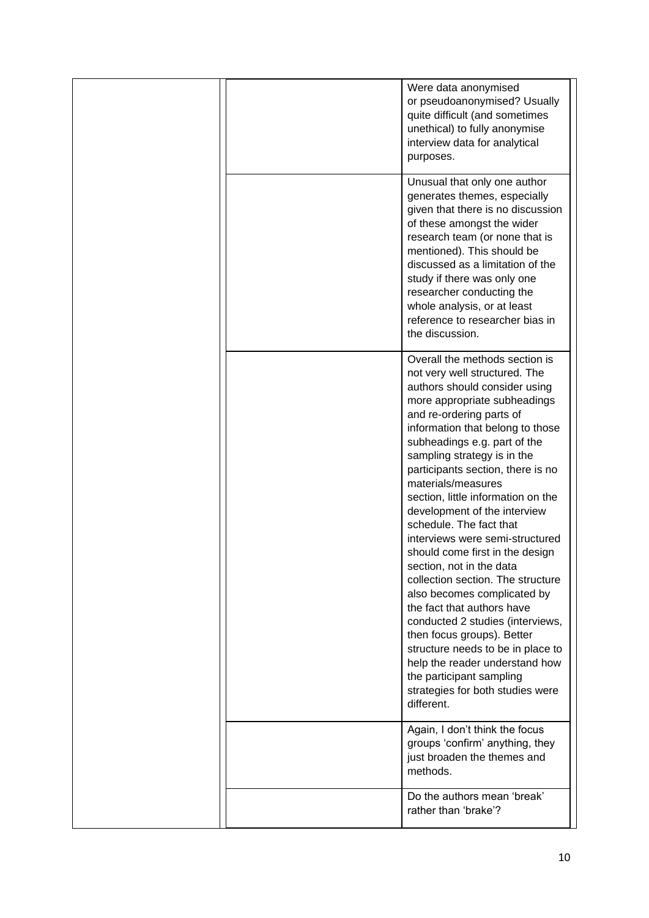|  | Were data anonymised<br>or pseudoanonymised? Usually<br>quite difficult (and sometimes<br>unethical) to fully anonymise<br>interview data for analytical<br>purposes.                                                                                                                                                                                                                                                                                                                                                                                                                                                                                                                                                                                                                                                                                  |
|--|--------------------------------------------------------------------------------------------------------------------------------------------------------------------------------------------------------------------------------------------------------------------------------------------------------------------------------------------------------------------------------------------------------------------------------------------------------------------------------------------------------------------------------------------------------------------------------------------------------------------------------------------------------------------------------------------------------------------------------------------------------------------------------------------------------------------------------------------------------|
|  | Unusual that only one author<br>generates themes, especially<br>given that there is no discussion<br>of these amongst the wider<br>research team (or none that is<br>mentioned). This should be<br>discussed as a limitation of the<br>study if there was only one<br>researcher conducting the<br>whole analysis, or at least<br>reference to researcher bias in<br>the discussion.                                                                                                                                                                                                                                                                                                                                                                                                                                                                   |
|  | Overall the methods section is<br>not very well structured. The<br>authors should consider using<br>more appropriate subheadings<br>and re-ordering parts of<br>information that belong to those<br>subheadings e.g. part of the<br>sampling strategy is in the<br>participants section, there is no<br>materials/measures<br>section, little information on the<br>development of the interview<br>schedule. The fact that<br>interviews were semi-structured<br>should come first in the design<br>section, not in the data<br>collection section. The structure<br>also becomes complicated by<br>the fact that authors have<br>conducted 2 studies (interviews,<br>then focus groups). Better<br>structure needs to be in place to<br>help the reader understand how<br>the participant sampling<br>strategies for both studies were<br>different. |
|  | Again, I don't think the focus<br>groups 'confirm' anything, they<br>just broaden the themes and<br>methods.                                                                                                                                                                                                                                                                                                                                                                                                                                                                                                                                                                                                                                                                                                                                           |
|  | Do the authors mean 'break'<br>rather than 'brake'?                                                                                                                                                                                                                                                                                                                                                                                                                                                                                                                                                                                                                                                                                                                                                                                                    |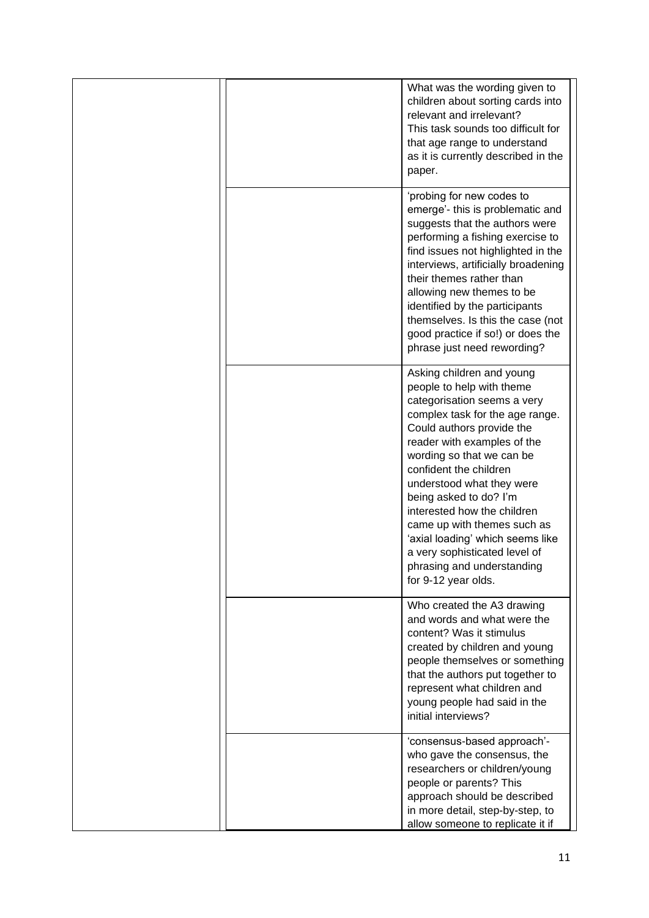|  | What was the wording given to<br>children about sorting cards into<br>relevant and irrelevant?<br>This task sounds too difficult for<br>that age range to understand<br>as it is currently described in the<br>paper.                                                                                                                                                                                                                                                                      |
|--|--------------------------------------------------------------------------------------------------------------------------------------------------------------------------------------------------------------------------------------------------------------------------------------------------------------------------------------------------------------------------------------------------------------------------------------------------------------------------------------------|
|  | 'probing for new codes to<br>emerge'- this is problematic and<br>suggests that the authors were<br>performing a fishing exercise to<br>find issues not highlighted in the<br>interviews, artificially broadening<br>their themes rather than<br>allowing new themes to be<br>identified by the participants<br>themselves. Is this the case (not<br>good practice if so!) or does the<br>phrase just need rewording?                                                                       |
|  | Asking children and young<br>people to help with theme<br>categorisation seems a very<br>complex task for the age range.<br>Could authors provide the<br>reader with examples of the<br>wording so that we can be<br>confident the children<br>understood what they were<br>being asked to do? I'm<br>interested how the children<br>came up with themes such as<br>'axial loading' which seems like<br>a very sophisticated level of<br>phrasing and understanding<br>for 9-12 year olds. |
|  | Who created the A3 drawing<br>and words and what were the<br>content? Was it stimulus<br>created by children and young<br>people themselves or something<br>that the authors put together to<br>represent what children and<br>young people had said in the<br>initial interviews?                                                                                                                                                                                                         |
|  | 'consensus-based approach'-<br>who gave the consensus, the<br>researchers or children/young<br>people or parents? This<br>approach should be described<br>in more detail, step-by-step, to<br>allow someone to replicate it if                                                                                                                                                                                                                                                             |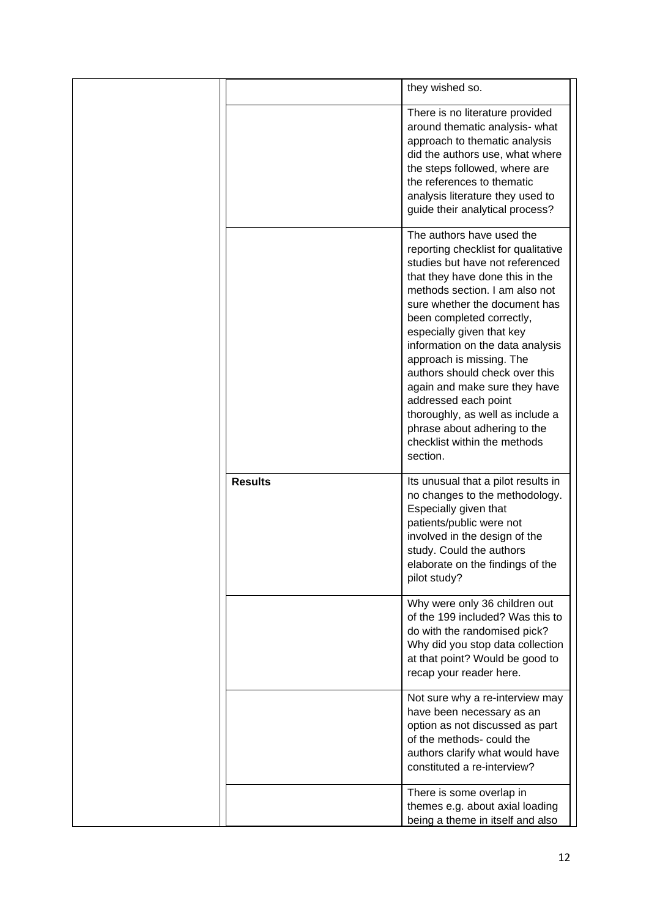|                | they wished so.                                                                                                                                                                                                                                                                                                                                                                                                                                                                                                                                |
|----------------|------------------------------------------------------------------------------------------------------------------------------------------------------------------------------------------------------------------------------------------------------------------------------------------------------------------------------------------------------------------------------------------------------------------------------------------------------------------------------------------------------------------------------------------------|
|                | There is no literature provided<br>around thematic analysis- what<br>approach to thematic analysis<br>did the authors use, what where<br>the steps followed, where are<br>the references to thematic<br>analysis literature they used to<br>guide their analytical process?                                                                                                                                                                                                                                                                    |
|                | The authors have used the<br>reporting checklist for qualitative<br>studies but have not referenced<br>that they have done this in the<br>methods section. I am also not<br>sure whether the document has<br>been completed correctly,<br>especially given that key<br>information on the data analysis<br>approach is missing. The<br>authors should check over this<br>again and make sure they have<br>addressed each point<br>thoroughly, as well as include a<br>phrase about adhering to the<br>checklist within the methods<br>section. |
| <b>Results</b> | Its unusual that a pilot results in<br>no changes to the methodology.<br>Especially given that<br>patients/public were not<br>involved in the design of the<br>study. Could the authors<br>elaborate on the findings of the<br>pilot study?                                                                                                                                                                                                                                                                                                    |
|                | Why were only 36 children out<br>of the 199 included? Was this to<br>do with the randomised pick?<br>Why did you stop data collection<br>at that point? Would be good to<br>recap your reader here.                                                                                                                                                                                                                                                                                                                                            |
|                | Not sure why a re-interview may<br>have been necessary as an<br>option as not discussed as part<br>of the methods- could the<br>authors clarify what would have<br>constituted a re-interview?                                                                                                                                                                                                                                                                                                                                                 |
|                | There is some overlap in<br>themes e.g. about axial loading<br>being a theme in itself and also                                                                                                                                                                                                                                                                                                                                                                                                                                                |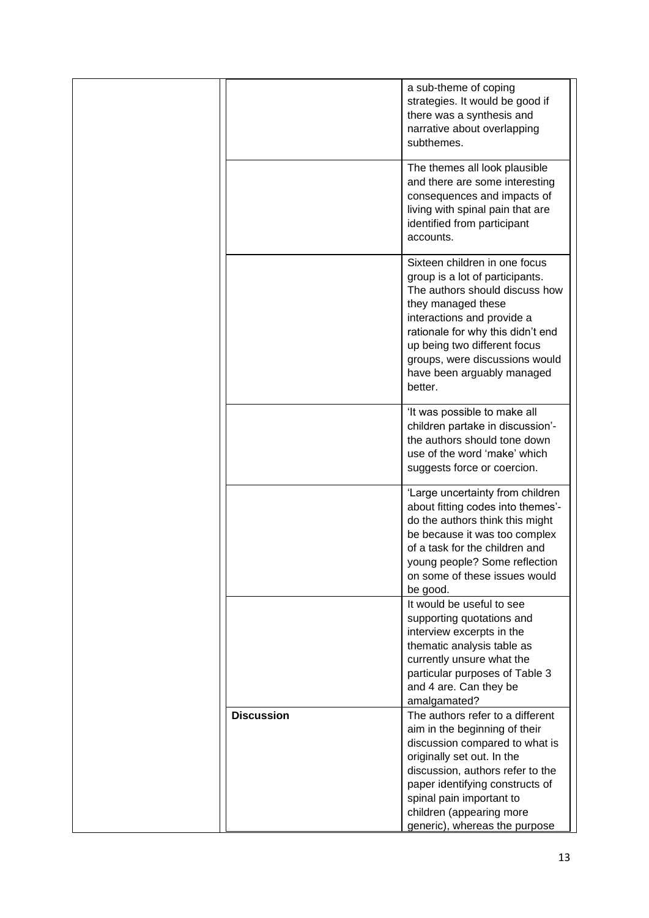|                   | a sub-theme of coping<br>strategies. It would be good if<br>there was a synthesis and<br>narrative about overlapping<br>subthemes.                                                                                                                                                                     |
|-------------------|--------------------------------------------------------------------------------------------------------------------------------------------------------------------------------------------------------------------------------------------------------------------------------------------------------|
|                   | The themes all look plausible<br>and there are some interesting<br>consequences and impacts of<br>living with spinal pain that are<br>identified from participant<br>accounts.                                                                                                                         |
|                   | Sixteen children in one focus<br>group is a lot of participants.<br>The authors should discuss how<br>they managed these<br>interactions and provide a<br>rationale for why this didn't end<br>up being two different focus<br>groups, were discussions would<br>have been arguably managed<br>better. |
|                   | 'It was possible to make all<br>children partake in discussion'-<br>the authors should tone down<br>use of the word 'make' which<br>suggests force or coercion.                                                                                                                                        |
|                   | 'Large uncertainty from children<br>about fitting codes into themes'-<br>do the authors think this might<br>be because it was too complex<br>of a task for the children and<br>young people? Some reflection<br>on some of these issues would<br>be good.                                              |
|                   | It would be useful to see<br>supporting quotations and<br>interview excerpts in the<br>thematic analysis table as<br>currently unsure what the<br>particular purposes of Table 3<br>and 4 are. Can they be<br>amalgamated?                                                                             |
| <b>Discussion</b> | The authors refer to a different<br>aim in the beginning of their<br>discussion compared to what is<br>originally set out. In the<br>discussion, authors refer to the<br>paper identifying constructs of<br>spinal pain important to<br>children (appearing more                                       |
|                   | generic), whereas the purpose                                                                                                                                                                                                                                                                          |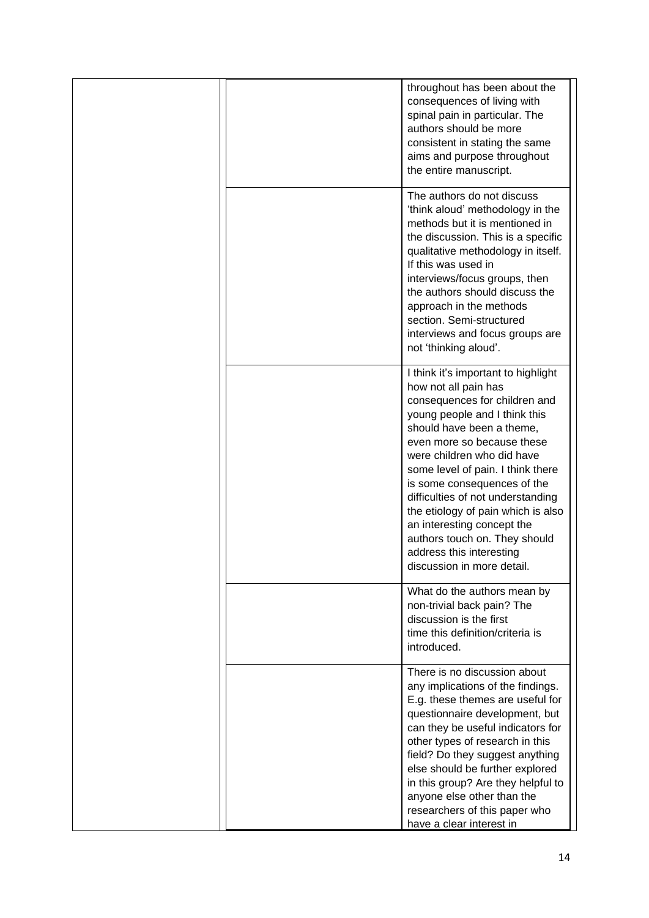|  | throughout has been about the<br>consequences of living with<br>spinal pain in particular. The<br>authors should be more<br>consistent in stating the same<br>aims and purpose throughout<br>the entire manuscript.                                                                                                                                                                                                                                                                            |
|--|------------------------------------------------------------------------------------------------------------------------------------------------------------------------------------------------------------------------------------------------------------------------------------------------------------------------------------------------------------------------------------------------------------------------------------------------------------------------------------------------|
|  | The authors do not discuss<br>'think aloud' methodology in the<br>methods but it is mentioned in<br>the discussion. This is a specific<br>qualitative methodology in itself.<br>If this was used in<br>interviews/focus groups, then<br>the authors should discuss the<br>approach in the methods<br>section. Semi-structured<br>interviews and focus groups are<br>not 'thinking aloud'.                                                                                                      |
|  | I think it's important to highlight<br>how not all pain has<br>consequences for children and<br>young people and I think this<br>should have been a theme,<br>even more so because these<br>were children who did have<br>some level of pain. I think there<br>is some consequences of the<br>difficulties of not understanding<br>the etiology of pain which is also<br>an interesting concept the<br>authors touch on. They should<br>address this interesting<br>discussion in more detail. |
|  | What do the authors mean by<br>non-trivial back pain? The<br>discussion is the first<br>time this definition/criteria is<br>introduced.                                                                                                                                                                                                                                                                                                                                                        |
|  | There is no discussion about<br>any implications of the findings.<br>E.g. these themes are useful for<br>questionnaire development, but<br>can they be useful indicators for<br>other types of research in this<br>field? Do they suggest anything<br>else should be further explored<br>in this group? Are they helpful to<br>anyone else other than the<br>researchers of this paper who<br>have a clear interest in                                                                         |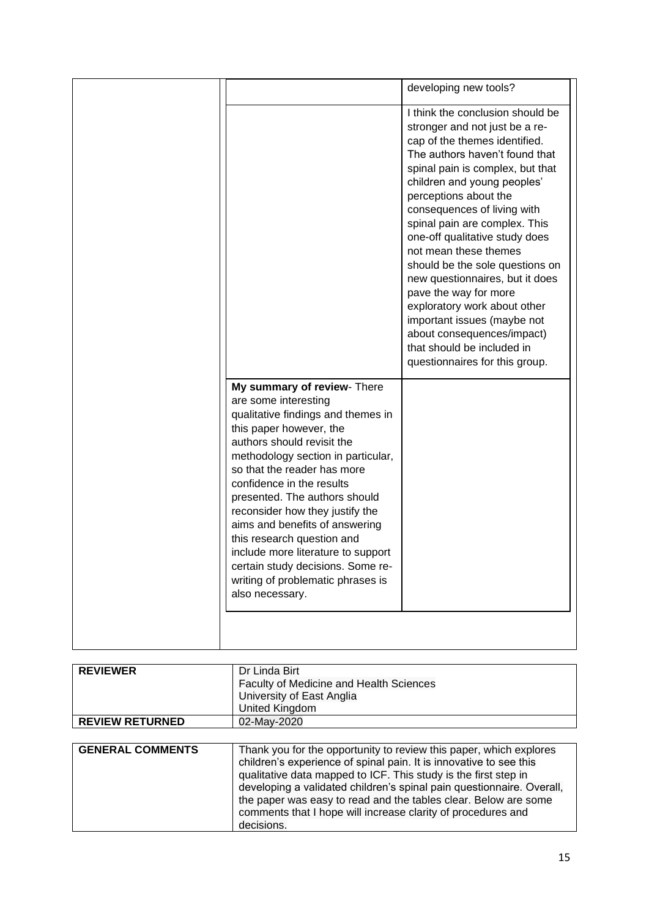|                                                                                                                                                                                                                                                                                                                                                            | developing new tools?                                                                                                                                                                                                                                                                                                                                                                                                                                                                                                                                                                                                    |
|------------------------------------------------------------------------------------------------------------------------------------------------------------------------------------------------------------------------------------------------------------------------------------------------------------------------------------------------------------|--------------------------------------------------------------------------------------------------------------------------------------------------------------------------------------------------------------------------------------------------------------------------------------------------------------------------------------------------------------------------------------------------------------------------------------------------------------------------------------------------------------------------------------------------------------------------------------------------------------------------|
| My summary of review- There<br>are some interesting<br>qualitative findings and themes in<br>this paper however, the<br>authors should revisit the<br>methodology section in particular,<br>so that the reader has more<br>confidence in the results<br>presented. The authors should<br>reconsider how they justify the<br>aims and benefits of answering | I think the conclusion should be<br>stronger and not just be a re-<br>cap of the themes identified.<br>The authors haven't found that<br>spinal pain is complex, but that<br>children and young peoples'<br>perceptions about the<br>consequences of living with<br>spinal pain are complex. This<br>one-off qualitative study does<br>not mean these themes<br>should be the sole questions on<br>new questionnaires, but it does<br>pave the way for more<br>exploratory work about other<br>important issues (maybe not<br>about consequences/impact)<br>that should be included in<br>questionnaires for this group. |
| this research question and<br>include more literature to support<br>certain study decisions. Some re-<br>writing of problematic phrases is<br>also necessary.                                                                                                                                                                                              |                                                                                                                                                                                                                                                                                                                                                                                                                                                                                                                                                                                                                          |
|                                                                                                                                                                                                                                                                                                                                                            |                                                                                                                                                                                                                                                                                                                                                                                                                                                                                                                                                                                                                          |

| <b>REVIEWER</b>        | Dr Linda Birt                                  |  |
|------------------------|------------------------------------------------|--|
|                        | <b>Faculty of Medicine and Health Sciences</b> |  |
|                        | University of East Anglia                      |  |
|                        | <b>United Kingdom</b>                          |  |
| <b>REVIEW RETURNED</b> | 02-Mav-2020                                    |  |
|                        |                                                |  |

| <b>GENERAL COMMENTS</b> | Thank you for the opportunity to review this paper, which explores<br>children's experience of spinal pain. It is innovative to see this<br>qualitative data mapped to ICF. This study is the first step in<br>developing a validated children's spinal pain questionnaire. Overall,<br>the paper was easy to read and the tables clear. Below are some<br>comments that I hope will increase clarity of procedures and<br>decisions. |
|-------------------------|---------------------------------------------------------------------------------------------------------------------------------------------------------------------------------------------------------------------------------------------------------------------------------------------------------------------------------------------------------------------------------------------------------------------------------------|
|                         |                                                                                                                                                                                                                                                                                                                                                                                                                                       |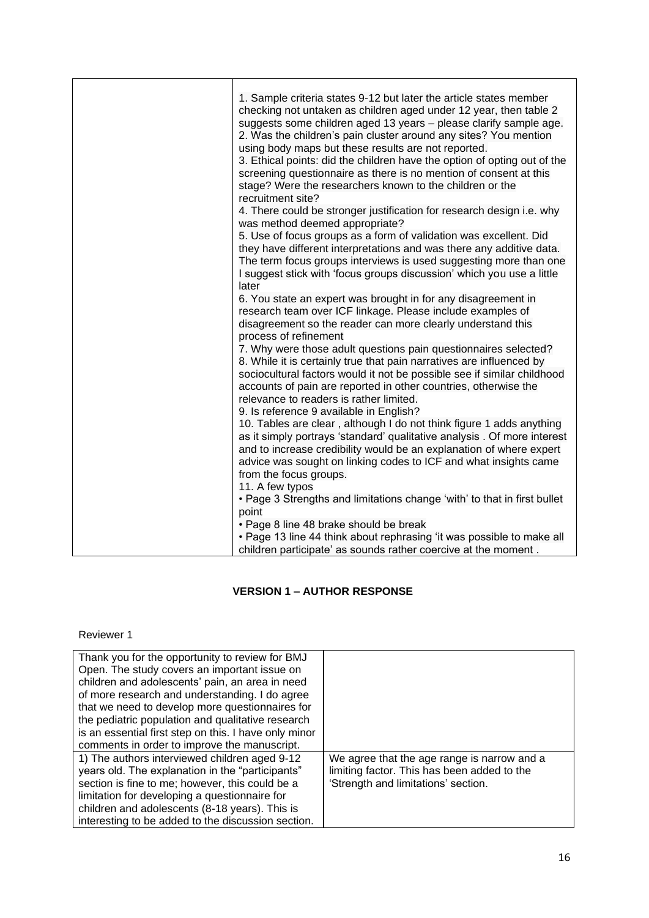| 1. Sample criteria states 9-12 but later the article states member                                                                                                                                         |
|------------------------------------------------------------------------------------------------------------------------------------------------------------------------------------------------------------|
| checking not untaken as children aged under 12 year, then table 2<br>suggests some children aged 13 years - please clarify sample age.<br>2. Was the children's pain cluster around any sites? You mention |
| using body maps but these results are not reported.<br>3. Ethical points: did the children have the option of opting out of the                                                                            |
| screening questionnaire as there is no mention of consent at this<br>stage? Were the researchers known to the children or the                                                                              |
| recruitment site?<br>4. There could be stronger justification for research design i.e. why                                                                                                                 |
| was method deemed appropriate?                                                                                                                                                                             |
| 5. Use of focus groups as a form of validation was excellent. Did                                                                                                                                          |
| they have different interpretations and was there any additive data.<br>The term focus groups interviews is used suggesting more than one                                                                  |
| I suggest stick with 'focus groups discussion' which you use a little                                                                                                                                      |
| later                                                                                                                                                                                                      |
| 6. You state an expert was brought in for any disagreement in                                                                                                                                              |
| research team over ICF linkage. Please include examples of<br>disagreement so the reader can more clearly understand this                                                                                  |
| process of refinement                                                                                                                                                                                      |
| 7. Why were those adult questions pain questionnaires selected?                                                                                                                                            |
| 8. While it is certainly true that pain narratives are influenced by                                                                                                                                       |
| sociocultural factors would it not be possible see if similar childhood<br>accounts of pain are reported in other countries, otherwise the                                                                 |
| relevance to readers is rather limited.                                                                                                                                                                    |
| 9. Is reference 9 available in English?                                                                                                                                                                    |
| 10. Tables are clear, although I do not think figure 1 adds anything                                                                                                                                       |
| as it simply portrays 'standard' qualitative analysis . Of more interest<br>and to increase credibility would be an explanation of where expert                                                            |
| advice was sought on linking codes to ICF and what insights came                                                                                                                                           |
| from the focus groups.                                                                                                                                                                                     |
| 11. A few typos                                                                                                                                                                                            |
| • Page 3 Strengths and limitations change 'with' to that in first bullet                                                                                                                                   |
| point<br>• Page 8 line 48 brake should be break                                                                                                                                                            |
| • Page 13 line 44 think about rephrasing 'it was possible to make all                                                                                                                                      |
| children participate' as sounds rather coercive at the moment.                                                                                                                                             |

# **VERSION 1 – AUTHOR RESPONSE**

#### Reviewer 1

| Thank you for the opportunity to review for BMJ       |                                             |
|-------------------------------------------------------|---------------------------------------------|
| Open. The study covers an important issue on          |                                             |
| children and adolescents' pain, an area in need       |                                             |
| of more research and understanding. I do agree        |                                             |
| that we need to develop more questionnaires for       |                                             |
| the pediatric population and qualitative research     |                                             |
| is an essential first step on this. I have only minor |                                             |
| comments in order to improve the manuscript.          |                                             |
| 1) The authors interviewed children aged 9-12         | We agree that the age range is narrow and a |
| years old. The explanation in the "participants"      | limiting factor. This has been added to the |
| section is fine to me; however, this could be a       | 'Strength and limitations' section.         |
| limitation for developing a questionnaire for         |                                             |
| children and adolescents (8-18 years). This is        |                                             |
| interesting to be added to the discussion section.    |                                             |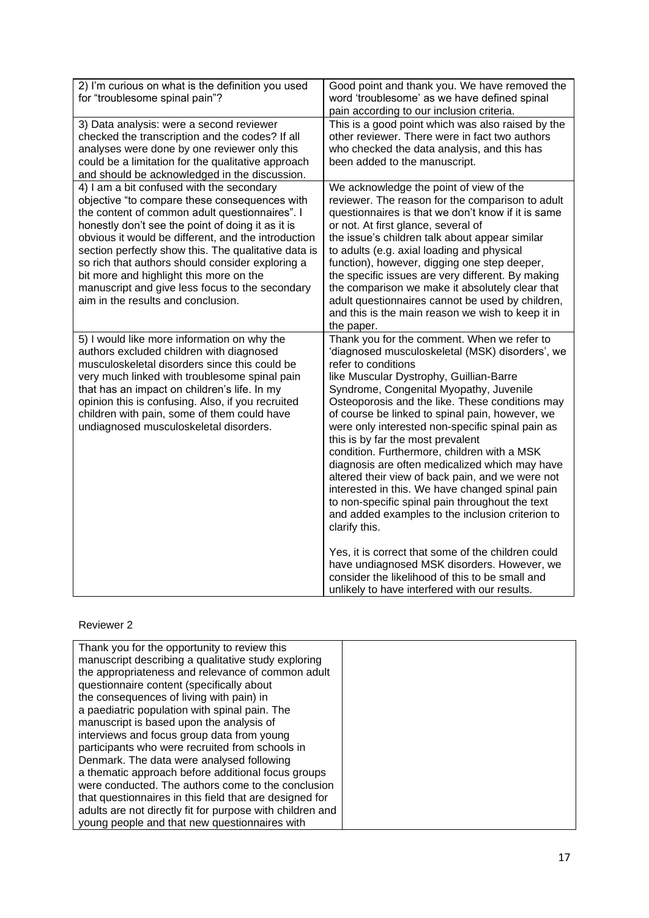| 2) I'm curious on what is the definition you used<br>for "troublesome spinal pain"?                                                                                                                                                                                                                                                                                                                                                                                                                      | Good point and thank you. We have removed the<br>word 'troublesome' as we have defined spinal<br>pain according to our inclusion criteria.                                                                                                                                                                                                                                                                                                                                                                                                                                                                                                                                                                                                                                                       |
|----------------------------------------------------------------------------------------------------------------------------------------------------------------------------------------------------------------------------------------------------------------------------------------------------------------------------------------------------------------------------------------------------------------------------------------------------------------------------------------------------------|--------------------------------------------------------------------------------------------------------------------------------------------------------------------------------------------------------------------------------------------------------------------------------------------------------------------------------------------------------------------------------------------------------------------------------------------------------------------------------------------------------------------------------------------------------------------------------------------------------------------------------------------------------------------------------------------------------------------------------------------------------------------------------------------------|
| 3) Data analysis: were a second reviewer<br>checked the transcription and the codes? If all<br>analyses were done by one reviewer only this<br>could be a limitation for the qualitative approach<br>and should be acknowledged in the discussion.                                                                                                                                                                                                                                                       | This is a good point which was also raised by the<br>other reviewer. There were in fact two authors<br>who checked the data analysis, and this has<br>been added to the manuscript.                                                                                                                                                                                                                                                                                                                                                                                                                                                                                                                                                                                                              |
| 4) I am a bit confused with the secondary<br>objective "to compare these consequences with<br>the content of common adult questionnaires". I<br>honestly don't see the point of doing it as it is<br>obvious it would be different, and the introduction<br>section perfectly show this. The qualitative data is<br>so rich that authors should consider exploring a<br>bit more and highlight this more on the<br>manuscript and give less focus to the secondary<br>aim in the results and conclusion. | We acknowledge the point of view of the<br>reviewer. The reason for the comparison to adult<br>questionnaires is that we don't know if it is same<br>or not. At first glance, several of<br>the issue's children talk about appear similar<br>to adults (e.g. axial loading and physical<br>function), however, digging one step deeper,<br>the specific issues are very different. By making<br>the comparison we make it absolutely clear that<br>adult questionnaires cannot be used by children,<br>and this is the main reason we wish to keep it in<br>the paper.                                                                                                                                                                                                                          |
| 5) I would like more information on why the<br>authors excluded children with diagnosed<br>musculoskeletal disorders since this could be<br>very much linked with troublesome spinal pain<br>that has an impact on children's life. In my<br>opinion this is confusing. Also, if you recruited<br>children with pain, some of them could have<br>undiagnosed musculoskeletal disorders.                                                                                                                  | Thank you for the comment. When we refer to<br>'diagnosed musculoskeletal (MSK) disorders', we<br>refer to conditions<br>like Muscular Dystrophy, Guillian-Barre<br>Syndrome, Congenital Myopathy, Juvenile<br>Osteoporosis and the like. These conditions may<br>of course be linked to spinal pain, however, we<br>were only interested non-specific spinal pain as<br>this is by far the most prevalent<br>condition. Furthermore, children with a MSK<br>diagnosis are often medicalized which may have<br>altered their view of back pain, and we were not<br>interested in this. We have changed spinal pain<br>to non-specific spinal pain throughout the text<br>and added examples to the inclusion criterion to<br>clarify this.<br>Yes, it is correct that some of the children could |
|                                                                                                                                                                                                                                                                                                                                                                                                                                                                                                          | have undiagnosed MSK disorders. However, we<br>consider the likelihood of this to be small and<br>unlikely to have interfered with our results.                                                                                                                                                                                                                                                                                                                                                                                                                                                                                                                                                                                                                                                  |

# Reviewer 2

| Thank you for the opportunity to review this              |  |
|-----------------------------------------------------------|--|
| manuscript describing a qualitative study exploring       |  |
| the appropriateness and relevance of common adult         |  |
| questionnaire content (specifically about                 |  |
| the consequences of living with pain) in                  |  |
| a paediatric population with spinal pain. The             |  |
| manuscript is based upon the analysis of                  |  |
| interviews and focus group data from young                |  |
| participants who were recruited from schools in           |  |
| Denmark. The data were analysed following                 |  |
| a thematic approach before additional focus groups        |  |
| were conducted. The authors come to the conclusion        |  |
| that questionnaires in this field that are designed for   |  |
| adults are not directly fit for purpose with children and |  |
| young people and that new questionnaires with             |  |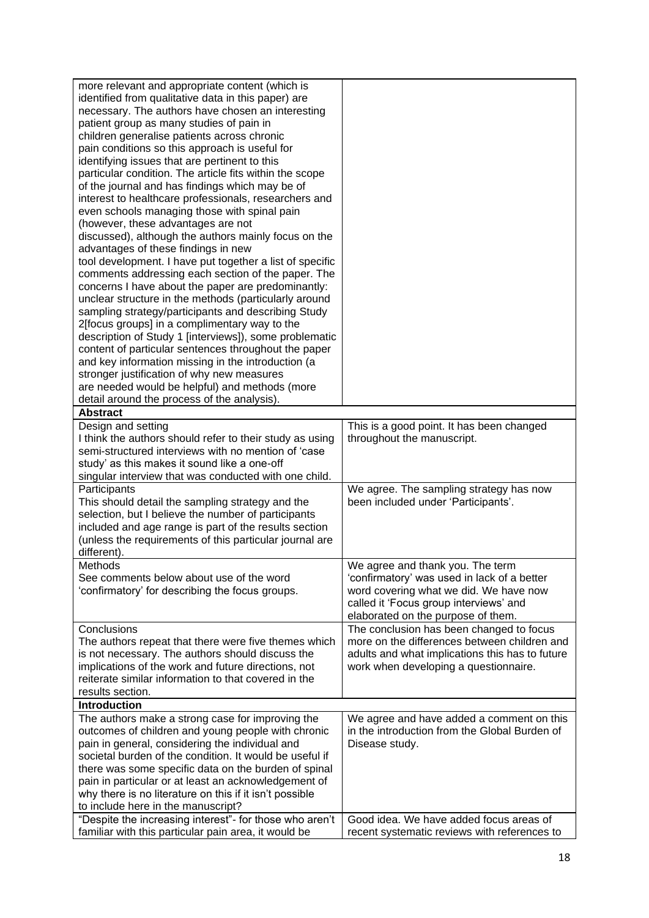| more relevant and appropriate content (which is<br>identified from qualitative data in this paper) are<br>necessary. The authors have chosen an interesting<br>patient group as many studies of pain in<br>children generalise patients across chronic<br>pain conditions so this approach is useful for<br>identifying issues that are pertinent to this<br>particular condition. The article fits within the scope<br>of the journal and has findings which may be of<br>interest to healthcare professionals, researchers and<br>even schools managing those with spinal pain<br>(however, these advantages are not<br>discussed), although the authors mainly focus on the<br>advantages of these findings in new<br>tool development. I have put together a list of specific<br>comments addressing each section of the paper. The<br>concerns I have about the paper are predominantly:<br>unclear structure in the methods (particularly around<br>sampling strategy/participants and describing Study<br>2[focus groups] in a complimentary way to the |                                                                                                                                                                                                           |
|----------------------------------------------------------------------------------------------------------------------------------------------------------------------------------------------------------------------------------------------------------------------------------------------------------------------------------------------------------------------------------------------------------------------------------------------------------------------------------------------------------------------------------------------------------------------------------------------------------------------------------------------------------------------------------------------------------------------------------------------------------------------------------------------------------------------------------------------------------------------------------------------------------------------------------------------------------------------------------------------------------------------------------------------------------------|-----------------------------------------------------------------------------------------------------------------------------------------------------------------------------------------------------------|
| description of Study 1 [interviews]), some problematic<br>content of particular sentences throughout the paper<br>and key information missing in the introduction (a<br>stronger justification of why new measures<br>are needed would be helpful) and methods (more<br>detail around the process of the analysis).                                                                                                                                                                                                                                                                                                                                                                                                                                                                                                                                                                                                                                                                                                                                            |                                                                                                                                                                                                           |
| <b>Abstract</b>                                                                                                                                                                                                                                                                                                                                                                                                                                                                                                                                                                                                                                                                                                                                                                                                                                                                                                                                                                                                                                                |                                                                                                                                                                                                           |
| Design and setting<br>I think the authors should refer to their study as using<br>semi-structured interviews with no mention of 'case<br>study' as this makes it sound like a one-off<br>singular interview that was conducted with one child.                                                                                                                                                                                                                                                                                                                                                                                                                                                                                                                                                                                                                                                                                                                                                                                                                 | This is a good point. It has been changed<br>throughout the manuscript.                                                                                                                                   |
| Participants<br>This should detail the sampling strategy and the<br>selection, but I believe the number of participants<br>included and age range is part of the results section<br>(unless the requirements of this particular journal are<br>different).                                                                                                                                                                                                                                                                                                                                                                                                                                                                                                                                                                                                                                                                                                                                                                                                     | We agree. The sampling strategy has now<br>been included under 'Participants'.                                                                                                                            |
| Methods<br>See comments below about use of the word<br>'confirmatory' for describing the focus groups.                                                                                                                                                                                                                                                                                                                                                                                                                                                                                                                                                                                                                                                                                                                                                                                                                                                                                                                                                         | We agree and thank you. The term<br>'confirmatory' was used in lack of a better<br>word covering what we did. We have now<br>called it 'Focus group interviews' and<br>elaborated on the purpose of them. |
| Conclusions<br>The authors repeat that there were five themes which<br>is not necessary. The authors should discuss the<br>implications of the work and future directions, not<br>reiterate similar information to that covered in the<br>results section.<br><b>Introduction</b>                                                                                                                                                                                                                                                                                                                                                                                                                                                                                                                                                                                                                                                                                                                                                                              | The conclusion has been changed to focus<br>more on the differences between children and<br>adults and what implications this has to future<br>work when developing a questionnaire.                      |
|                                                                                                                                                                                                                                                                                                                                                                                                                                                                                                                                                                                                                                                                                                                                                                                                                                                                                                                                                                                                                                                                |                                                                                                                                                                                                           |
| The authors make a strong case for improving the<br>outcomes of children and young people with chronic<br>pain in general, considering the individual and<br>societal burden of the condition. It would be useful if<br>there was some specific data on the burden of spinal<br>pain in particular or at least an acknowledgement of<br>why there is no literature on this if it isn't possible<br>to include here in the manuscript?                                                                                                                                                                                                                                                                                                                                                                                                                                                                                                                                                                                                                          | We agree and have added a comment on this<br>in the introduction from the Global Burden of<br>Disease study.                                                                                              |
| "Despite the increasing interest"- for those who aren't<br>familiar with this particular pain area, it would be                                                                                                                                                                                                                                                                                                                                                                                                                                                                                                                                                                                                                                                                                                                                                                                                                                                                                                                                                | Good idea. We have added focus areas of<br>recent systematic reviews with references to                                                                                                                   |
|                                                                                                                                                                                                                                                                                                                                                                                                                                                                                                                                                                                                                                                                                                                                                                                                                                                                                                                                                                                                                                                                |                                                                                                                                                                                                           |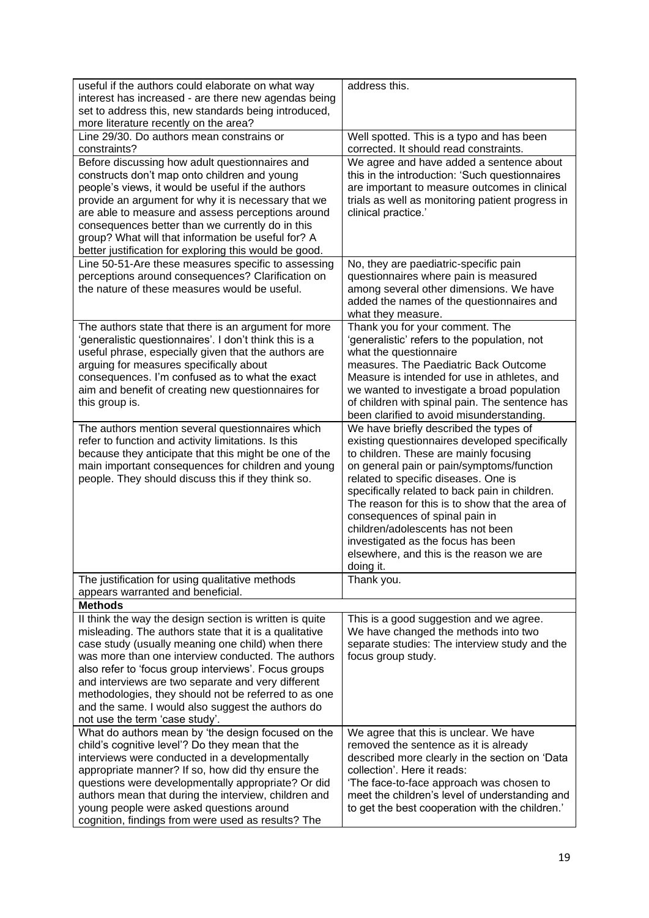| useful if the authors could elaborate on what way                                                                 | address this.                                    |
|-------------------------------------------------------------------------------------------------------------------|--------------------------------------------------|
| interest has increased - are there new agendas being                                                              |                                                  |
| set to address this, new standards being introduced,                                                              |                                                  |
| more literature recently on the area?                                                                             |                                                  |
| Line 29/30. Do authors mean constrains or                                                                         | Well spotted. This is a typo and has been        |
| constraints?                                                                                                      | corrected. It should read constraints.           |
| Before discussing how adult questionnaires and                                                                    | We agree and have added a sentence about         |
| constructs don't map onto children and young                                                                      | this in the introduction: 'Such questionnaires   |
| people's views, it would be useful if the authors                                                                 | are important to measure outcomes in clinical    |
| provide an argument for why it is necessary that we                                                               | trials as well as monitoring patient progress in |
| are able to measure and assess perceptions around                                                                 | clinical practice.'                              |
| consequences better than we currently do in this                                                                  |                                                  |
| group? What will that information be useful for? A                                                                |                                                  |
| better justification for exploring this would be good.                                                            |                                                  |
| Line 50-51-Are these measures specific to assessing                                                               | No, they are paediatric-specific pain            |
| perceptions around consequences? Clarification on                                                                 | questionnaires where pain is measured            |
| the nature of these measures would be useful.                                                                     | among several other dimensions. We have          |
|                                                                                                                   | added the names of the questionnaires and        |
|                                                                                                                   | what they measure.                               |
| The authors state that there is an argument for more                                                              | Thank you for your comment. The                  |
| 'generalistic questionnaires'. I don't think this is a                                                            | 'generalistic' refers to the population, not     |
| useful phrase, especially given that the authors are                                                              | what the questionnaire                           |
| arguing for measures specifically about                                                                           | measures. The Paediatric Back Outcome            |
| consequences. I'm confused as to what the exact                                                                   | Measure is intended for use in athletes, and     |
| aim and benefit of creating new questionnaires for                                                                | we wanted to investigate a broad population      |
| this group is.                                                                                                    | of children with spinal pain. The sentence has   |
|                                                                                                                   | been clarified to avoid misunderstanding.        |
| The authors mention several questionnaires which                                                                  | We have briefly described the types of           |
| refer to function and activity limitations. Is this                                                               | existing questionnaires developed specifically   |
| because they anticipate that this might be one of the                                                             | to children. These are mainly focusing           |
| main important consequences for children and young                                                                | on general pain or pain/symptoms/function        |
| people. They should discuss this if they think so.                                                                | related to specific diseases. One is             |
|                                                                                                                   | specifically related to back pain in children.   |
|                                                                                                                   | The reason for this is to show that the area of  |
|                                                                                                                   | consequences of spinal pain in                   |
|                                                                                                                   | children/adolescents has not been                |
|                                                                                                                   | investigated as the focus has been               |
|                                                                                                                   | elsewhere, and this is the reason we are         |
|                                                                                                                   | doing it.                                        |
| The justification for using qualitative methods                                                                   | Thank you.                                       |
| appears warranted and beneficial.                                                                                 |                                                  |
| <b>Methods</b>                                                                                                    |                                                  |
|                                                                                                                   | This is a good suggestion and we agree.          |
| II think the way the design section is written is quite<br>misleading. The authors state that it is a qualitative |                                                  |
|                                                                                                                   | We have changed the methods into two             |
| case study (usually meaning one child) when there<br>was more than one interview conducted. The authors           | separate studies: The interview study and the    |
|                                                                                                                   | focus group study.                               |
| also refer to 'focus group interviews'. Focus groups                                                              |                                                  |
| and interviews are two separate and very different                                                                |                                                  |
| methodologies, they should not be referred to as one                                                              |                                                  |
| and the same. I would also suggest the authors do                                                                 |                                                  |
| not use the term 'case study'.                                                                                    |                                                  |
| What do authors mean by 'the design focused on the                                                                | We agree that this is unclear. We have           |
| child's cognitive level'? Do they mean that the                                                                   | removed the sentence as it is already            |
| interviews were conducted in a developmentally                                                                    | described more clearly in the section on 'Data   |
| appropriate manner? If so, how did thy ensure the                                                                 | collection'. Here it reads:                      |
| questions were developmentally appropriate? Or did                                                                | 'The face-to-face approach was chosen to         |
| authors mean that during the interview, children and                                                              | meet the children's level of understanding and   |
| young people were asked questions around                                                                          | to get the best cooperation with the children.'  |
| cognition, findings from were used as results? The                                                                |                                                  |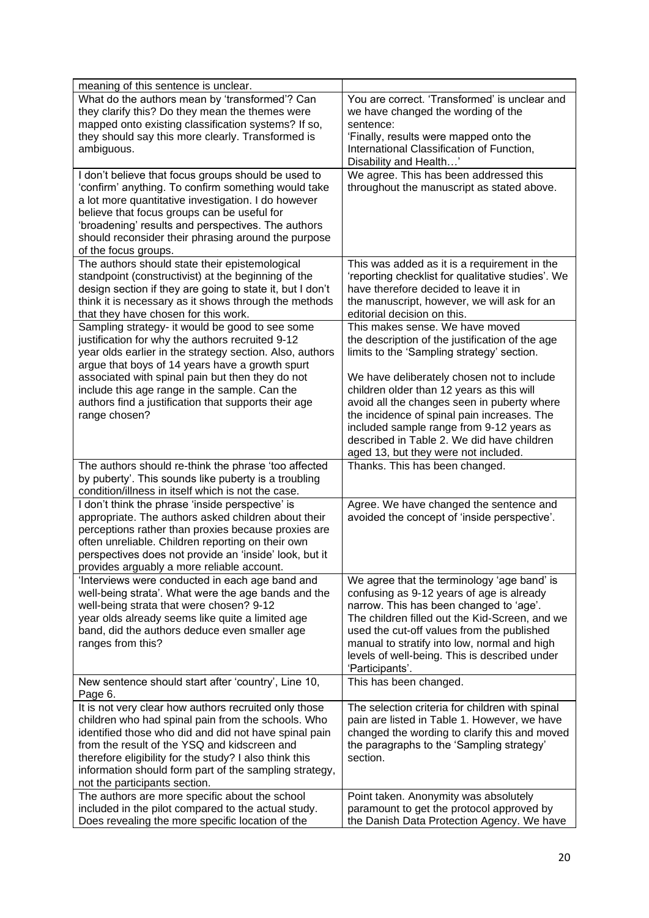| meaning of this sentence is unclear.                                                                                                                                                                                                                                                                                                                                                             |                                                                                                                                                                                                                                                                                                                                                                                                                                                             |
|--------------------------------------------------------------------------------------------------------------------------------------------------------------------------------------------------------------------------------------------------------------------------------------------------------------------------------------------------------------------------------------------------|-------------------------------------------------------------------------------------------------------------------------------------------------------------------------------------------------------------------------------------------------------------------------------------------------------------------------------------------------------------------------------------------------------------------------------------------------------------|
| What do the authors mean by 'transformed'? Can<br>they clarify this? Do they mean the themes were<br>mapped onto existing classification systems? If so,<br>they should say this more clearly. Transformed is<br>ambiguous.                                                                                                                                                                      | You are correct. 'Transformed' is unclear and<br>we have changed the wording of the<br>sentence:<br>'Finally, results were mapped onto the<br>International Classification of Function,<br>Disability and Health'                                                                                                                                                                                                                                           |
| I don't believe that focus groups should be used to<br>'confirm' anything. To confirm something would take<br>a lot more quantitative investigation. I do however<br>believe that focus groups can be useful for<br>'broadening' results and perspectives. The authors<br>should reconsider their phrasing around the purpose<br>of the focus groups.                                            | We agree. This has been addressed this<br>throughout the manuscript as stated above.                                                                                                                                                                                                                                                                                                                                                                        |
| The authors should state their epistemological<br>standpoint (constructivist) at the beginning of the<br>design section if they are going to state it, but I don't<br>think it is necessary as it shows through the methods<br>that they have chosen for this work.                                                                                                                              | This was added as it is a requirement in the<br>'reporting checklist for qualitative studies'. We<br>have therefore decided to leave it in<br>the manuscript, however, we will ask for an<br>editorial decision on this.                                                                                                                                                                                                                                    |
| Sampling strategy- it would be good to see some<br>justification for why the authors recruited 9-12<br>year olds earlier in the strategy section. Also, authors<br>argue that boys of 14 years have a growth spurt<br>associated with spinal pain but then they do not<br>include this age range in the sample. Can the<br>authors find a justification that supports their age<br>range chosen? | This makes sense. We have moved<br>the description of the justification of the age<br>limits to the 'Sampling strategy' section.<br>We have deliberately chosen not to include<br>children older than 12 years as this will<br>avoid all the changes seen in puberty where<br>the incidence of spinal pain increases. The<br>included sample range from 9-12 years as<br>described in Table 2. We did have children<br>aged 13, but they were not included. |
| The authors should re-think the phrase 'too affected<br>by puberty'. This sounds like puberty is a troubling<br>condition/illness in itself which is not the case.                                                                                                                                                                                                                               | Thanks. This has been changed.                                                                                                                                                                                                                                                                                                                                                                                                                              |
| I don't think the phrase 'inside perspective' is<br>appropriate. The authors asked children about their<br>perceptions rather than proxies because proxies are<br>often unreliable. Children reporting on their own<br>perspectives does not provide an 'inside' look, but it<br>provides arguably a more reliable account.                                                                      | Agree. We have changed the sentence and<br>avoided the concept of 'inside perspective'.                                                                                                                                                                                                                                                                                                                                                                     |
| 'Interviews were conducted in each age band and<br>well-being strata'. What were the age bands and the<br>well-being strata that were chosen? 9-12<br>year olds already seems like quite a limited age<br>band, did the authors deduce even smaller age<br>ranges from this?                                                                                                                     | We agree that the terminology 'age band' is<br>confusing as 9-12 years of age is already<br>narrow. This has been changed to 'age'.<br>The children filled out the Kid-Screen, and we<br>used the cut-off values from the published<br>manual to stratify into low, normal and high<br>levels of well-being. This is described under<br>'Participants'.                                                                                                     |
| New sentence should start after 'country', Line 10,<br>Page 6.                                                                                                                                                                                                                                                                                                                                   | This has been changed.                                                                                                                                                                                                                                                                                                                                                                                                                                      |
| It is not very clear how authors recruited only those<br>children who had spinal pain from the schools. Who<br>identified those who did and did not have spinal pain<br>from the result of the YSQ and kidscreen and<br>therefore eligibility for the study? I also think this<br>information should form part of the sampling strategy,<br>not the participants section.                        | The selection criteria for children with spinal<br>pain are listed in Table 1. However, we have<br>changed the wording to clarify this and moved<br>the paragraphs to the 'Sampling strategy'<br>section.                                                                                                                                                                                                                                                   |
| The authors are more specific about the school<br>included in the pilot compared to the actual study.<br>Does revealing the more specific location of the                                                                                                                                                                                                                                        | Point taken. Anonymity was absolutely<br>paramount to get the protocol approved by<br>the Danish Data Protection Agency. We have                                                                                                                                                                                                                                                                                                                            |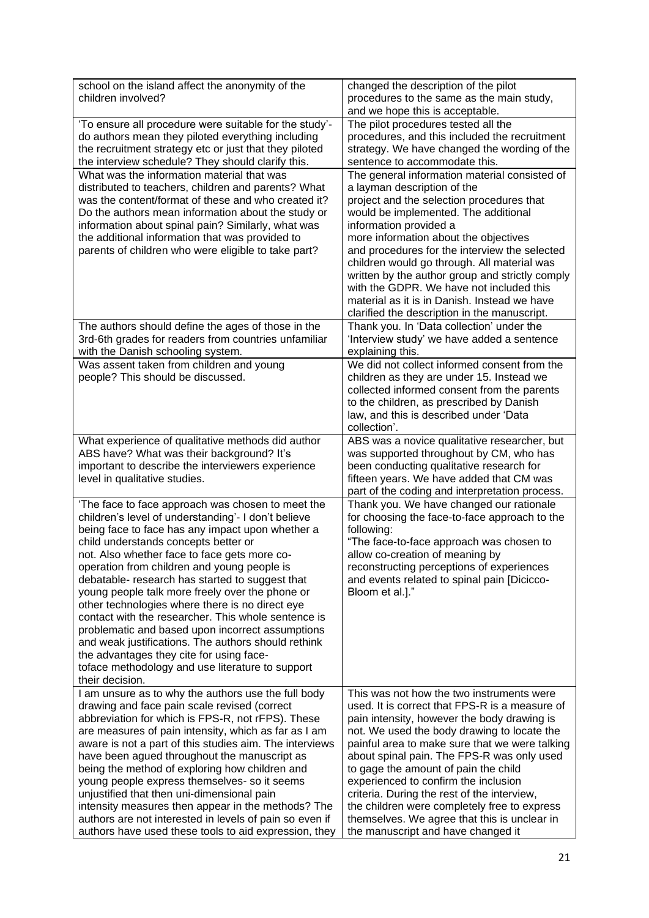| school on the island affect the anonymity of the<br>children involved?                                                                                                                                                                                                                                                                                                                                                                                                                                                                                                                                                                                                                                                                            | changed the description of the pilot<br>procedures to the same as the main study,<br>and we hope this is acceptable.                                                                                                                                                                                                                                                                                                                                                                                                                                           |
|---------------------------------------------------------------------------------------------------------------------------------------------------------------------------------------------------------------------------------------------------------------------------------------------------------------------------------------------------------------------------------------------------------------------------------------------------------------------------------------------------------------------------------------------------------------------------------------------------------------------------------------------------------------------------------------------------------------------------------------------------|----------------------------------------------------------------------------------------------------------------------------------------------------------------------------------------------------------------------------------------------------------------------------------------------------------------------------------------------------------------------------------------------------------------------------------------------------------------------------------------------------------------------------------------------------------------|
| 'To ensure all procedure were suitable for the study'-<br>do authors mean they piloted everything including<br>the recruitment strategy etc or just that they piloted<br>the interview schedule? They should clarify this.                                                                                                                                                                                                                                                                                                                                                                                                                                                                                                                        | The pilot procedures tested all the<br>procedures, and this included the recruitment<br>strategy. We have changed the wording of the<br>sentence to accommodate this.                                                                                                                                                                                                                                                                                                                                                                                          |
| What was the information material that was<br>distributed to teachers, children and parents? What<br>was the content/format of these and who created it?<br>Do the authors mean information about the study or<br>information about spinal pain? Similarly, what was<br>the additional information that was provided to<br>parents of children who were eligible to take part?                                                                                                                                                                                                                                                                                                                                                                    | The general information material consisted of<br>a layman description of the<br>project and the selection procedures that<br>would be implemented. The additional<br>information provided a<br>more information about the objectives<br>and procedures for the interview the selected<br>children would go through. All material was<br>written by the author group and strictly comply<br>with the GDPR. We have not included this<br>material as it is in Danish. Instead we have<br>clarified the description in the manuscript.                            |
| The authors should define the ages of those in the<br>3rd-6th grades for readers from countries unfamiliar<br>with the Danish schooling system.                                                                                                                                                                                                                                                                                                                                                                                                                                                                                                                                                                                                   | Thank you. In 'Data collection' under the<br>'Interview study' we have added a sentence<br>explaining this.                                                                                                                                                                                                                                                                                                                                                                                                                                                    |
| Was assent taken from children and young<br>people? This should be discussed.                                                                                                                                                                                                                                                                                                                                                                                                                                                                                                                                                                                                                                                                     | We did not collect informed consent from the<br>children as they are under 15. Instead we<br>collected informed consent from the parents<br>to the children, as prescribed by Danish<br>law, and this is described under 'Data<br>collection'.                                                                                                                                                                                                                                                                                                                 |
| What experience of qualitative methods did author<br>ABS have? What was their background? It's<br>important to describe the interviewers experience<br>level in qualitative studies.                                                                                                                                                                                                                                                                                                                                                                                                                                                                                                                                                              | ABS was a novice qualitative researcher, but<br>was supported throughout by CM, who has<br>been conducting qualitative research for<br>fifteen years. We have added that CM was<br>part of the coding and interpretation process.                                                                                                                                                                                                                                                                                                                              |
| 'The face to face approach was chosen to meet the<br>children's level of understanding'- I don't believe<br>being face to face has any impact upon whether a<br>child understands concepts better or<br>not. Also whether face to face gets more co-<br>operation from children and young people is<br>debatable- research has started to suggest that<br>young people talk more freely over the phone or<br>other technologies where there is no direct eye<br>contact with the researcher. This whole sentence is<br>problematic and based upon incorrect assumptions<br>and weak justifications. The authors should rethink<br>the advantages they cite for using face-<br>toface methodology and use literature to support<br>their decision. | Thank you. We have changed our rationale<br>for choosing the face-to-face approach to the<br>following:<br>"The face-to-face approach was chosen to<br>allow co-creation of meaning by<br>reconstructing perceptions of experiences<br>and events related to spinal pain [Dicicco-<br>Bloom et al.]."                                                                                                                                                                                                                                                          |
| I am unsure as to why the authors use the full body<br>drawing and face pain scale revised (correct<br>abbreviation for which is FPS-R, not rFPS). These<br>are measures of pain intensity, which as far as I am<br>aware is not a part of this studies aim. The interviews<br>have been agued throughout the manuscript as<br>being the method of exploring how children and<br>young people express themselves- so it seems<br>unjustified that then uni-dimensional pain<br>intensity measures then appear in the methods? The<br>authors are not interested in levels of pain so even if<br>authors have used these tools to aid expression, they                                                                                             | This was not how the two instruments were<br>used. It is correct that FPS-R is a measure of<br>pain intensity, however the body drawing is<br>not. We used the body drawing to locate the<br>painful area to make sure that we were talking<br>about spinal pain. The FPS-R was only used<br>to gage the amount of pain the child<br>experienced to confirm the inclusion<br>criteria. During the rest of the interview,<br>the children were completely free to express<br>themselves. We agree that this is unclear in<br>the manuscript and have changed it |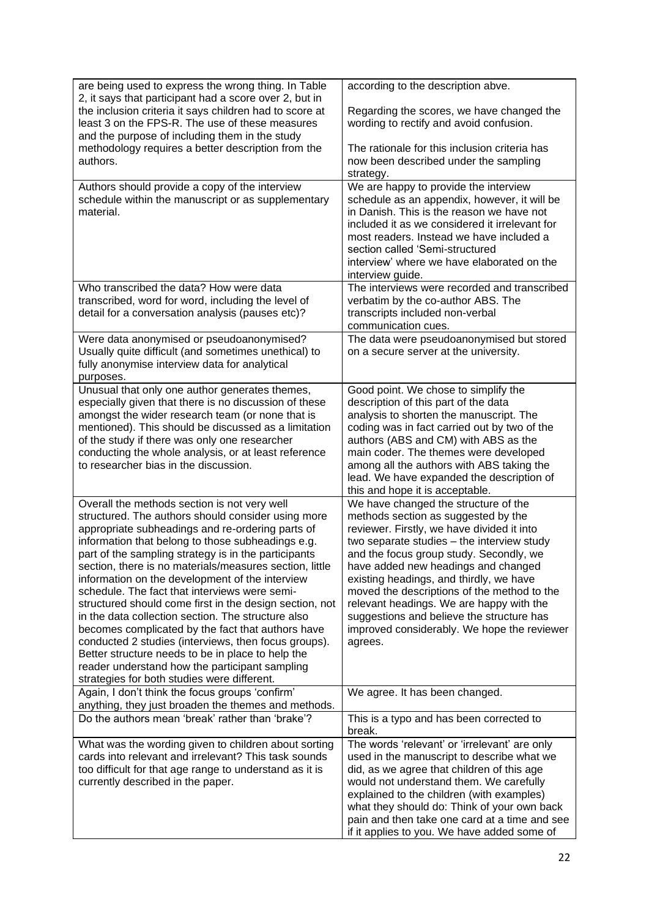| are being used to express the wrong thing. In Table<br>2, it says that participant had a score over 2, but in<br>the inclusion criteria it says children had to score at<br>least 3 on the FPS-R. The use of these measures<br>and the purpose of including them in the study<br>methodology requires a better description from the<br>authors.                                                                                                                                                                                                                                                                                                                                                                                                                                                                                                                                                                                                                                                                                                                                                                                                                                                 | according to the description abve.<br>Regarding the scores, we have changed the<br>wording to rectify and avoid confusion.<br>The rationale for this inclusion criteria has<br>now been described under the sampling<br>strategy.                                                                                                                                                                                                                                                                                                                                                                                                                                                                                                                                                                                                                                                               |
|-------------------------------------------------------------------------------------------------------------------------------------------------------------------------------------------------------------------------------------------------------------------------------------------------------------------------------------------------------------------------------------------------------------------------------------------------------------------------------------------------------------------------------------------------------------------------------------------------------------------------------------------------------------------------------------------------------------------------------------------------------------------------------------------------------------------------------------------------------------------------------------------------------------------------------------------------------------------------------------------------------------------------------------------------------------------------------------------------------------------------------------------------------------------------------------------------|-------------------------------------------------------------------------------------------------------------------------------------------------------------------------------------------------------------------------------------------------------------------------------------------------------------------------------------------------------------------------------------------------------------------------------------------------------------------------------------------------------------------------------------------------------------------------------------------------------------------------------------------------------------------------------------------------------------------------------------------------------------------------------------------------------------------------------------------------------------------------------------------------|
| Authors should provide a copy of the interview<br>schedule within the manuscript or as supplementary<br>material.                                                                                                                                                                                                                                                                                                                                                                                                                                                                                                                                                                                                                                                                                                                                                                                                                                                                                                                                                                                                                                                                               | We are happy to provide the interview<br>schedule as an appendix, however, it will be<br>in Danish. This is the reason we have not<br>included it as we considered it irrelevant for<br>most readers. Instead we have included a<br>section called 'Semi-structured<br>interview' where we have elaborated on the<br>interview guide.                                                                                                                                                                                                                                                                                                                                                                                                                                                                                                                                                           |
| Who transcribed the data? How were data<br>transcribed, word for word, including the level of<br>detail for a conversation analysis (pauses etc)?<br>Were data anonymised or pseudoanonymised?                                                                                                                                                                                                                                                                                                                                                                                                                                                                                                                                                                                                                                                                                                                                                                                                                                                                                                                                                                                                  | The interviews were recorded and transcribed<br>verbatim by the co-author ABS. The<br>transcripts included non-verbal<br>communication cues.<br>The data were pseudoanonymised but stored                                                                                                                                                                                                                                                                                                                                                                                                                                                                                                                                                                                                                                                                                                       |
| Usually quite difficult (and sometimes unethical) to<br>fully anonymise interview data for analytical<br>purposes.                                                                                                                                                                                                                                                                                                                                                                                                                                                                                                                                                                                                                                                                                                                                                                                                                                                                                                                                                                                                                                                                              | on a secure server at the university.                                                                                                                                                                                                                                                                                                                                                                                                                                                                                                                                                                                                                                                                                                                                                                                                                                                           |
| Unusual that only one author generates themes,<br>especially given that there is no discussion of these<br>amongst the wider research team (or none that is<br>mentioned). This should be discussed as a limitation<br>of the study if there was only one researcher<br>conducting the whole analysis, or at least reference<br>to researcher bias in the discussion.<br>Overall the methods section is not very well<br>structured. The authors should consider using more<br>appropriate subheadings and re-ordering parts of<br>information that belong to those subheadings e.g.<br>part of the sampling strategy is in the participants<br>section, there is no materials/measures section, little<br>information on the development of the interview<br>schedule. The fact that interviews were semi-<br>structured should come first in the design section, not<br>in the data collection section. The structure also<br>becomes complicated by the fact that authors have<br>conducted 2 studies (interviews, then focus groups).<br>Better structure needs to be in place to help the<br>reader understand how the participant sampling<br>strategies for both studies were different. | Good point. We chose to simplify the<br>description of this part of the data<br>analysis to shorten the manuscript. The<br>coding was in fact carried out by two of the<br>authors (ABS and CM) with ABS as the<br>main coder. The themes were developed<br>among all the authors with ABS taking the<br>lead. We have expanded the description of<br>this and hope it is acceptable.<br>We have changed the structure of the<br>methods section as suggested by the<br>reviewer. Firstly, we have divided it into<br>two separate studies - the interview study<br>and the focus group study. Secondly, we<br>have added new headings and changed<br>existing headings, and thirdly, we have<br>moved the descriptions of the method to the<br>relevant headings. We are happy with the<br>suggestions and believe the structure has<br>improved considerably. We hope the reviewer<br>agrees. |
| Again, I don't think the focus groups 'confirm'<br>anything, they just broaden the themes and methods.                                                                                                                                                                                                                                                                                                                                                                                                                                                                                                                                                                                                                                                                                                                                                                                                                                                                                                                                                                                                                                                                                          | We agree. It has been changed.                                                                                                                                                                                                                                                                                                                                                                                                                                                                                                                                                                                                                                                                                                                                                                                                                                                                  |
| Do the authors mean 'break' rather than 'brake'?<br>What was the wording given to children about sorting                                                                                                                                                                                                                                                                                                                                                                                                                                                                                                                                                                                                                                                                                                                                                                                                                                                                                                                                                                                                                                                                                        | This is a typo and has been corrected to<br>break.<br>The words 'relevant' or 'irrelevant' are only                                                                                                                                                                                                                                                                                                                                                                                                                                                                                                                                                                                                                                                                                                                                                                                             |
| cards into relevant and irrelevant? This task sounds<br>too difficult for that age range to understand as it is<br>currently described in the paper.                                                                                                                                                                                                                                                                                                                                                                                                                                                                                                                                                                                                                                                                                                                                                                                                                                                                                                                                                                                                                                            | used in the manuscript to describe what we<br>did, as we agree that children of this age<br>would not understand them. We carefully<br>explained to the children (with examples)<br>what they should do: Think of your own back<br>pain and then take one card at a time and see<br>if it applies to you. We have added some of                                                                                                                                                                                                                                                                                                                                                                                                                                                                                                                                                                 |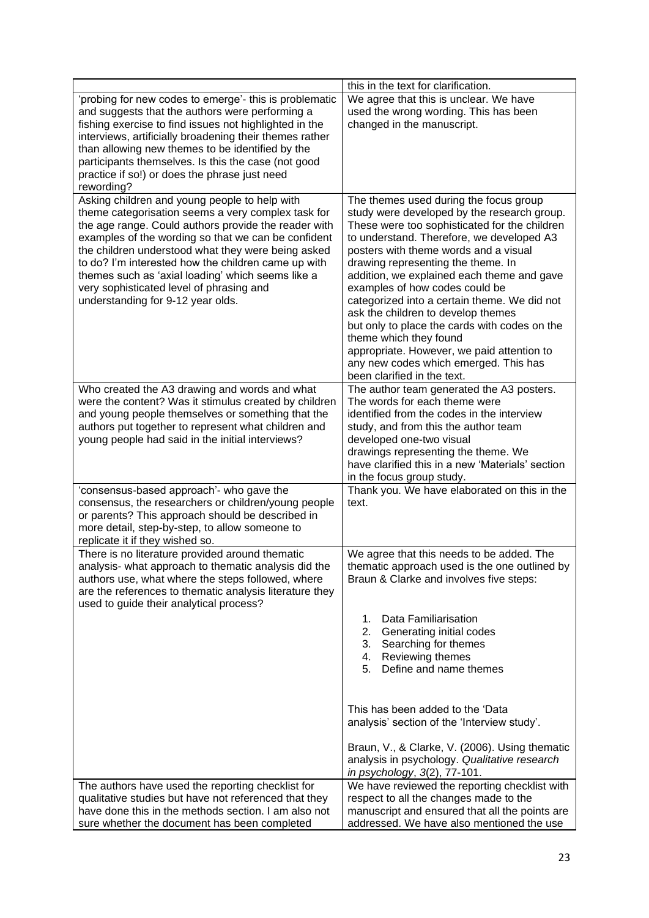|                                                                                                                                                                                                                                                                                                                                                                                                                                                                       | this in the text for clarification.                                                                                                                                                                                                                                                                                                                                                                                                                                                                                                                                                                                                       |
|-----------------------------------------------------------------------------------------------------------------------------------------------------------------------------------------------------------------------------------------------------------------------------------------------------------------------------------------------------------------------------------------------------------------------------------------------------------------------|-------------------------------------------------------------------------------------------------------------------------------------------------------------------------------------------------------------------------------------------------------------------------------------------------------------------------------------------------------------------------------------------------------------------------------------------------------------------------------------------------------------------------------------------------------------------------------------------------------------------------------------------|
| 'probing for new codes to emerge'- this is problematic<br>and suggests that the authors were performing a<br>fishing exercise to find issues not highlighted in the<br>interviews, artificially broadening their themes rather<br>than allowing new themes to be identified by the<br>participants themselves. Is this the case (not good<br>practice if so!) or does the phrase just need<br>rewording?                                                              | We agree that this is unclear. We have<br>used the wrong wording. This has been<br>changed in the manuscript.                                                                                                                                                                                                                                                                                                                                                                                                                                                                                                                             |
| Asking children and young people to help with<br>theme categorisation seems a very complex task for<br>the age range. Could authors provide the reader with<br>examples of the wording so that we can be confident<br>the children understood what they were being asked<br>to do? I'm interested how the children came up with<br>themes such as 'axial loading' which seems like a<br>very sophisticated level of phrasing and<br>understanding for 9-12 year olds. | The themes used during the focus group<br>study were developed by the research group.<br>These were too sophisticated for the children<br>to understand. Therefore, we developed A3<br>posters with theme words and a visual<br>drawing representing the theme. In<br>addition, we explained each theme and gave<br>examples of how codes could be<br>categorized into a certain theme. We did not<br>ask the children to develop themes<br>but only to place the cards with codes on the<br>theme which they found<br>appropriate. However, we paid attention to<br>any new codes which emerged. This has<br>been clarified in the text. |
| Who created the A3 drawing and words and what<br>were the content? Was it stimulus created by children<br>and young people themselves or something that the<br>authors put together to represent what children and<br>young people had said in the initial interviews?                                                                                                                                                                                                | The author team generated the A3 posters.<br>The words for each theme were<br>identified from the codes in the interview<br>study, and from this the author team<br>developed one-two visual<br>drawings representing the theme. We<br>have clarified this in a new 'Materials' section<br>in the focus group study.                                                                                                                                                                                                                                                                                                                      |
| 'consensus-based approach'- who gave the<br>consensus, the researchers or children/young people<br>or parents? This approach should be described in<br>more detail, step-by-step, to allow someone to<br>replicate it if they wished so.                                                                                                                                                                                                                              | Thank you. We have elaborated on this in the<br>text.                                                                                                                                                                                                                                                                                                                                                                                                                                                                                                                                                                                     |
| There is no literature provided around thematic<br>analysis- what approach to thematic analysis did the<br>authors use, what where the steps followed, where<br>are the references to thematic analysis literature they<br>used to guide their analytical process?                                                                                                                                                                                                    | We agree that this needs to be added. The<br>thematic approach used is the one outlined by<br>Braun & Clarke and involves five steps:<br>Data Familiarisation<br>1.<br>2.<br>Generating initial codes                                                                                                                                                                                                                                                                                                                                                                                                                                     |
|                                                                                                                                                                                                                                                                                                                                                                                                                                                                       | Searching for themes<br>3.<br>Reviewing themes<br>4.<br>Define and name themes<br>5.                                                                                                                                                                                                                                                                                                                                                                                                                                                                                                                                                      |
|                                                                                                                                                                                                                                                                                                                                                                                                                                                                       | This has been added to the 'Data<br>analysis' section of the 'Interview study'.<br>Braun, V., & Clarke, V. (2006). Using thematic<br>analysis in psychology. Qualitative research                                                                                                                                                                                                                                                                                                                                                                                                                                                         |
| The authors have used the reporting checklist for<br>qualitative studies but have not referenced that they<br>have done this in the methods section. I am also not                                                                                                                                                                                                                                                                                                    | in psychology, 3(2), 77-101.<br>We have reviewed the reporting checklist with<br>respect to all the changes made to the<br>manuscript and ensured that all the points are                                                                                                                                                                                                                                                                                                                                                                                                                                                                 |
| sure whether the document has been completed                                                                                                                                                                                                                                                                                                                                                                                                                          | addressed. We have also mentioned the use                                                                                                                                                                                                                                                                                                                                                                                                                                                                                                                                                                                                 |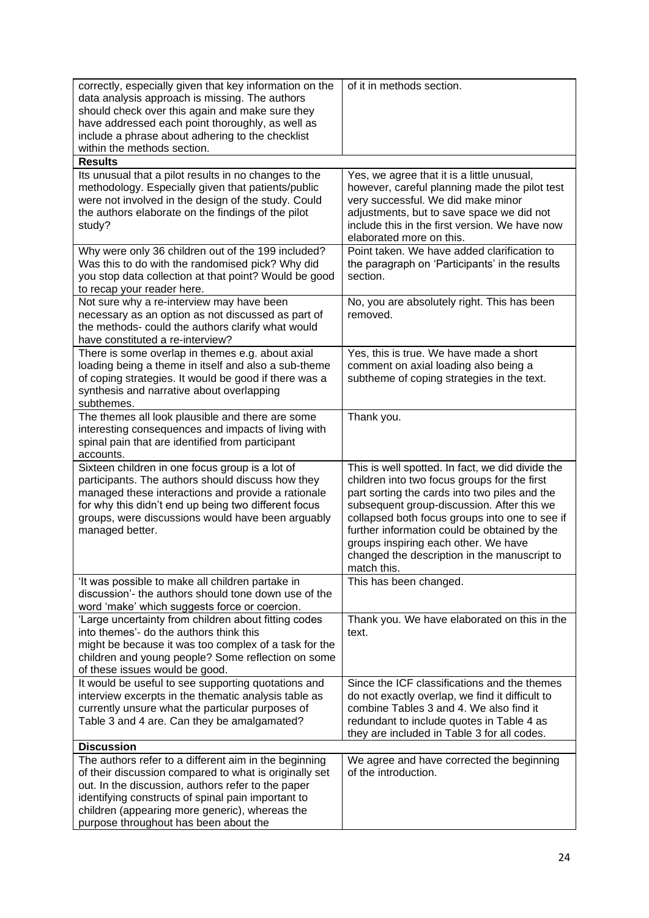| correctly, especially given that key information on the<br>data analysis approach is missing. The authors<br>should check over this again and make sure they<br>have addressed each point thoroughly, as well as<br>include a phrase about adhering to the checklist<br>within the methods section.                    | of it in methods section.                                                                                                                                                                                                                                                                                                                                                                                |
|------------------------------------------------------------------------------------------------------------------------------------------------------------------------------------------------------------------------------------------------------------------------------------------------------------------------|----------------------------------------------------------------------------------------------------------------------------------------------------------------------------------------------------------------------------------------------------------------------------------------------------------------------------------------------------------------------------------------------------------|
| <b>Results</b><br>Its unusual that a pilot results in no changes to the<br>methodology. Especially given that patients/public<br>were not involved in the design of the study. Could<br>the authors elaborate on the findings of the pilot<br>study?                                                                   | Yes, we agree that it is a little unusual,<br>however, careful planning made the pilot test<br>very successful. We did make minor<br>adjustments, but to save space we did not<br>include this in the first version. We have now<br>elaborated more on this.                                                                                                                                             |
| Why were only 36 children out of the 199 included?<br>Was this to do with the randomised pick? Why did<br>you stop data collection at that point? Would be good<br>to recap your reader here.                                                                                                                          | Point taken. We have added clarification to<br>the paragraph on 'Participants' in the results<br>section.                                                                                                                                                                                                                                                                                                |
| Not sure why a re-interview may have been<br>necessary as an option as not discussed as part of<br>the methods- could the authors clarify what would<br>have constituted a re-interview?                                                                                                                               | No, you are absolutely right. This has been<br>removed.                                                                                                                                                                                                                                                                                                                                                  |
| There is some overlap in themes e.g. about axial<br>loading being a theme in itself and also a sub-theme<br>of coping strategies. It would be good if there was a<br>synthesis and narrative about overlapping<br>subthemes.                                                                                           | Yes, this is true. We have made a short<br>comment on axial loading also being a<br>subtheme of coping strategies in the text.                                                                                                                                                                                                                                                                           |
| The themes all look plausible and there are some<br>interesting consequences and impacts of living with<br>spinal pain that are identified from participant<br>accounts.                                                                                                                                               | Thank you.                                                                                                                                                                                                                                                                                                                                                                                               |
| Sixteen children in one focus group is a lot of<br>participants. The authors should discuss how they<br>managed these interactions and provide a rationale<br>for why this didn't end up being two different focus<br>groups, were discussions would have been arguably<br>managed better.                             | This is well spotted. In fact, we did divide the<br>children into two focus groups for the first<br>part sorting the cards into two piles and the<br>subsequent group-discussion. After this we<br>collapsed both focus groups into one to see if<br>further information could be obtained by the<br>groups inspiring each other. We have<br>changed the description in the manuscript to<br>match this. |
| 'It was possible to make all children partake in<br>discussion'- the authors should tone down use of the<br>word 'make' which suggests force or coercion.                                                                                                                                                              | This has been changed.                                                                                                                                                                                                                                                                                                                                                                                   |
| 'Large uncertainty from children about fitting codes<br>into themes'- do the authors think this<br>might be because it was too complex of a task for the<br>children and young people? Some reflection on some<br>of these issues would be good.                                                                       | Thank you. We have elaborated on this in the<br>text.                                                                                                                                                                                                                                                                                                                                                    |
| It would be useful to see supporting quotations and<br>interview excerpts in the thematic analysis table as<br>currently unsure what the particular purposes of<br>Table 3 and 4 are. Can they be amalgamated?                                                                                                         | Since the ICF classifications and the themes<br>do not exactly overlap, we find it difficult to<br>combine Tables 3 and 4. We also find it<br>redundant to include quotes in Table 4 as<br>they are included in Table 3 for all codes.                                                                                                                                                                   |
| <b>Discussion</b>                                                                                                                                                                                                                                                                                                      |                                                                                                                                                                                                                                                                                                                                                                                                          |
| The authors refer to a different aim in the beginning<br>of their discussion compared to what is originally set<br>out. In the discussion, authors refer to the paper<br>identifying constructs of spinal pain important to<br>children (appearing more generic), whereas the<br>purpose throughout has been about the | We agree and have corrected the beginning<br>of the introduction.                                                                                                                                                                                                                                                                                                                                        |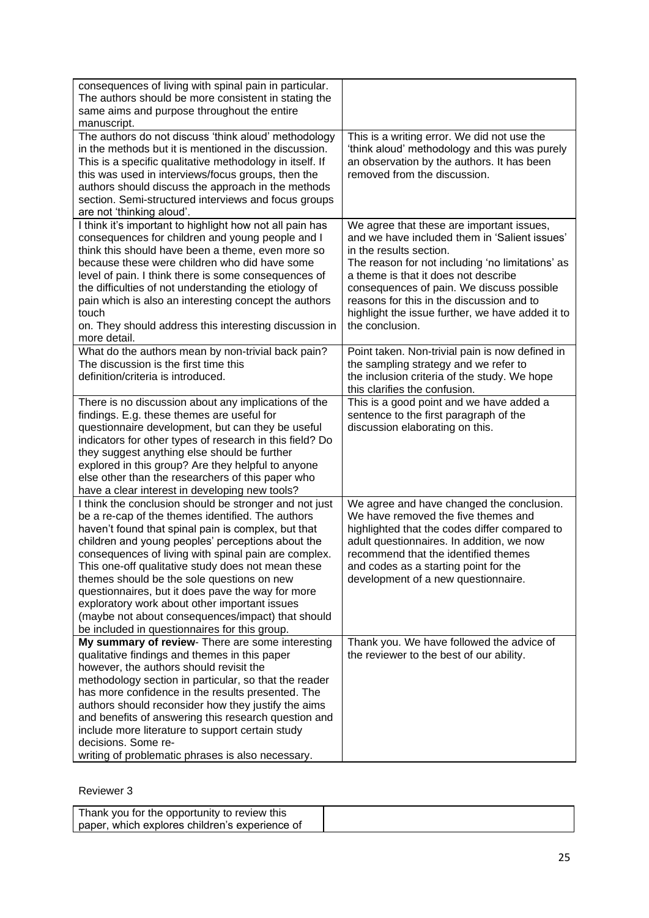| consequences of living with spinal pain in particular.<br>The authors should be more consistent in stating the<br>same aims and purpose throughout the entire<br>manuscript.                                                                                                                                                                                                                                                                                                                                                                                                                    |                                                                                                                                                                                                                                                                                                                                                                                    |
|-------------------------------------------------------------------------------------------------------------------------------------------------------------------------------------------------------------------------------------------------------------------------------------------------------------------------------------------------------------------------------------------------------------------------------------------------------------------------------------------------------------------------------------------------------------------------------------------------|------------------------------------------------------------------------------------------------------------------------------------------------------------------------------------------------------------------------------------------------------------------------------------------------------------------------------------------------------------------------------------|
| The authors do not discuss 'think aloud' methodology<br>in the methods but it is mentioned in the discussion.<br>This is a specific qualitative methodology in itself. If<br>this was used in interviews/focus groups, then the<br>authors should discuss the approach in the methods<br>section. Semi-structured interviews and focus groups<br>are not 'thinking aloud'.                                                                                                                                                                                                                      | This is a writing error. We did not use the<br>'think aloud' methodology and this was purely<br>an observation by the authors. It has been<br>removed from the discussion.                                                                                                                                                                                                         |
| I think it's important to highlight how not all pain has<br>consequences for children and young people and I<br>think this should have been a theme, even more so<br>because these were children who did have some<br>level of pain. I think there is some consequences of<br>the difficulties of not understanding the etiology of<br>pain which is also an interesting concept the authors<br>touch<br>on. They should address this interesting discussion in<br>more detail.                                                                                                                 | We agree that these are important issues,<br>and we have included them in 'Salient issues'<br>in the results section.<br>The reason for not including 'no limitations' as<br>a theme is that it does not describe<br>consequences of pain. We discuss possible<br>reasons for this in the discussion and to<br>highlight the issue further, we have added it to<br>the conclusion. |
| What do the authors mean by non-trivial back pain?<br>The discussion is the first time this<br>definition/criteria is introduced.                                                                                                                                                                                                                                                                                                                                                                                                                                                               | Point taken. Non-trivial pain is now defined in<br>the sampling strategy and we refer to<br>the inclusion criteria of the study. We hope<br>this clarifies the confusion.                                                                                                                                                                                                          |
| There is no discussion about any implications of the<br>findings. E.g. these themes are useful for<br>questionnaire development, but can they be useful<br>indicators for other types of research in this field? Do<br>they suggest anything else should be further<br>explored in this group? Are they helpful to anyone<br>else other than the researchers of this paper who<br>have a clear interest in developing new tools?                                                                                                                                                                | This is a good point and we have added a<br>sentence to the first paragraph of the<br>discussion elaborating on this.                                                                                                                                                                                                                                                              |
| I think the conclusion should be stronger and not just<br>be a re-cap of the themes identified. The authors<br>haven't found that spinal pain is complex, but that<br>children and young peoples' perceptions about the<br>consequences of living with spinal pain are complex.<br>This one-off qualitative study does not mean these<br>themes should be the sole questions on new<br>questionnaires, but it does pave the way for more<br>exploratory work about other important issues<br>(maybe not about consequences/impact) that should<br>be included in questionnaires for this group. | We agree and have changed the conclusion.<br>We have removed the five themes and<br>highlighted that the codes differ compared to<br>adult questionnaires. In addition, we now<br>recommend that the identified themes<br>and codes as a starting point for the<br>development of a new questionnaire.                                                                             |
| My summary of review- There are some interesting<br>qualitative findings and themes in this paper<br>however, the authors should revisit the<br>methodology section in particular, so that the reader<br>has more confidence in the results presented. The<br>authors should reconsider how they justify the aims<br>and benefits of answering this research question and<br>include more literature to support certain study<br>decisions. Some re-<br>writing of problematic phrases is also necessary.                                                                                       | Thank you. We have followed the advice of<br>the reviewer to the best of our ability.                                                                                                                                                                                                                                                                                              |

## Reviewer 3

| Thank you for the opportunity to review this   |  |
|------------------------------------------------|--|
| paper, which explores children's experience of |  |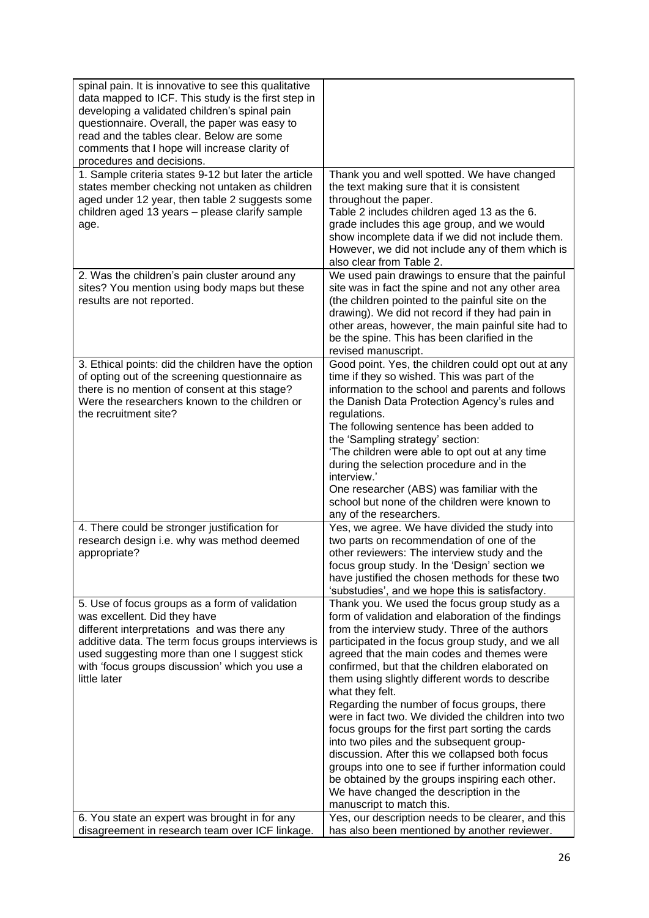| spinal pain. It is innovative to see this qualitative<br>data mapped to ICF. This study is the first step in<br>developing a validated children's spinal pain<br>questionnaire. Overall, the paper was easy to<br>read and the tables clear. Below are some<br>comments that I hope will increase clarity of<br>procedures and decisions.               |                                                                                                                                                                                                                                                                                                                                                                                                                                                                                                                                                                                                                                                                                                                                                                                                                                                                                 |
|---------------------------------------------------------------------------------------------------------------------------------------------------------------------------------------------------------------------------------------------------------------------------------------------------------------------------------------------------------|---------------------------------------------------------------------------------------------------------------------------------------------------------------------------------------------------------------------------------------------------------------------------------------------------------------------------------------------------------------------------------------------------------------------------------------------------------------------------------------------------------------------------------------------------------------------------------------------------------------------------------------------------------------------------------------------------------------------------------------------------------------------------------------------------------------------------------------------------------------------------------|
| 1. Sample criteria states 9-12 but later the article<br>states member checking not untaken as children<br>aged under 12 year, then table 2 suggests some<br>children aged 13 years - please clarify sample<br>age.                                                                                                                                      | Thank you and well spotted. We have changed<br>the text making sure that it is consistent<br>throughout the paper.<br>Table 2 includes children aged 13 as the 6.<br>grade includes this age group, and we would<br>show incomplete data if we did not include them.<br>However, we did not include any of them which is<br>also clear from Table 2.                                                                                                                                                                                                                                                                                                                                                                                                                                                                                                                            |
| 2. Was the children's pain cluster around any<br>sites? You mention using body maps but these<br>results are not reported.                                                                                                                                                                                                                              | We used pain drawings to ensure that the painful<br>site was in fact the spine and not any other area<br>(the children pointed to the painful site on the<br>drawing). We did not record if they had pain in<br>other areas, however, the main painful site had to<br>be the spine. This has been clarified in the<br>revised manuscript.                                                                                                                                                                                                                                                                                                                                                                                                                                                                                                                                       |
| 3. Ethical points: did the children have the option<br>of opting out of the screening questionnaire as<br>there is no mention of consent at this stage?<br>Were the researchers known to the children or<br>the recruitment site?                                                                                                                       | Good point. Yes, the children could opt out at any<br>time if they so wished. This was part of the<br>information to the school and parents and follows<br>the Danish Data Protection Agency's rules and<br>regulations.<br>The following sentence has been added to<br>the 'Sampling strategy' section:<br>'The children were able to opt out at any time<br>during the selection procedure and in the<br>interview.'<br>One researcher (ABS) was familiar with the<br>school but none of the children were known to<br>any of the researchers.                                                                                                                                                                                                                                                                                                                                |
| 4. There could be stronger justification for<br>research design i.e. why was method deemed<br>appropriate?                                                                                                                                                                                                                                              | Yes, we agree. We have divided the study into<br>two parts on recommendation of one of the<br>other reviewers: The interview study and the<br>focus group study. In the 'Design' section we<br>have justified the chosen methods for these two<br>'substudies', and we hope this is satisfactory.                                                                                                                                                                                                                                                                                                                                                                                                                                                                                                                                                                               |
| 5. Use of focus groups as a form of validation<br>was excellent. Did they have<br>different interpretations and was there any<br>additive data. The term focus groups interviews is<br>used suggesting more than one I suggest stick<br>with 'focus groups discussion' which you use a<br>little later<br>6. You state an expert was brought in for any | Thank you. We used the focus group study as a<br>form of validation and elaboration of the findings<br>from the interview study. Three of the authors<br>participated in the focus group study, and we all<br>agreed that the main codes and themes were<br>confirmed, but that the children elaborated on<br>them using slightly different words to describe<br>what they felt.<br>Regarding the number of focus groups, there<br>were in fact two. We divided the children into two<br>focus groups for the first part sorting the cards<br>into two piles and the subsequent group-<br>discussion. After this we collapsed both focus<br>groups into one to see if further information could<br>be obtained by the groups inspiring each other.<br>We have changed the description in the<br>manuscript to match this.<br>Yes, our description needs to be clearer, and this |
| disagreement in research team over ICF linkage.                                                                                                                                                                                                                                                                                                         | has also been mentioned by another reviewer.                                                                                                                                                                                                                                                                                                                                                                                                                                                                                                                                                                                                                                                                                                                                                                                                                                    |